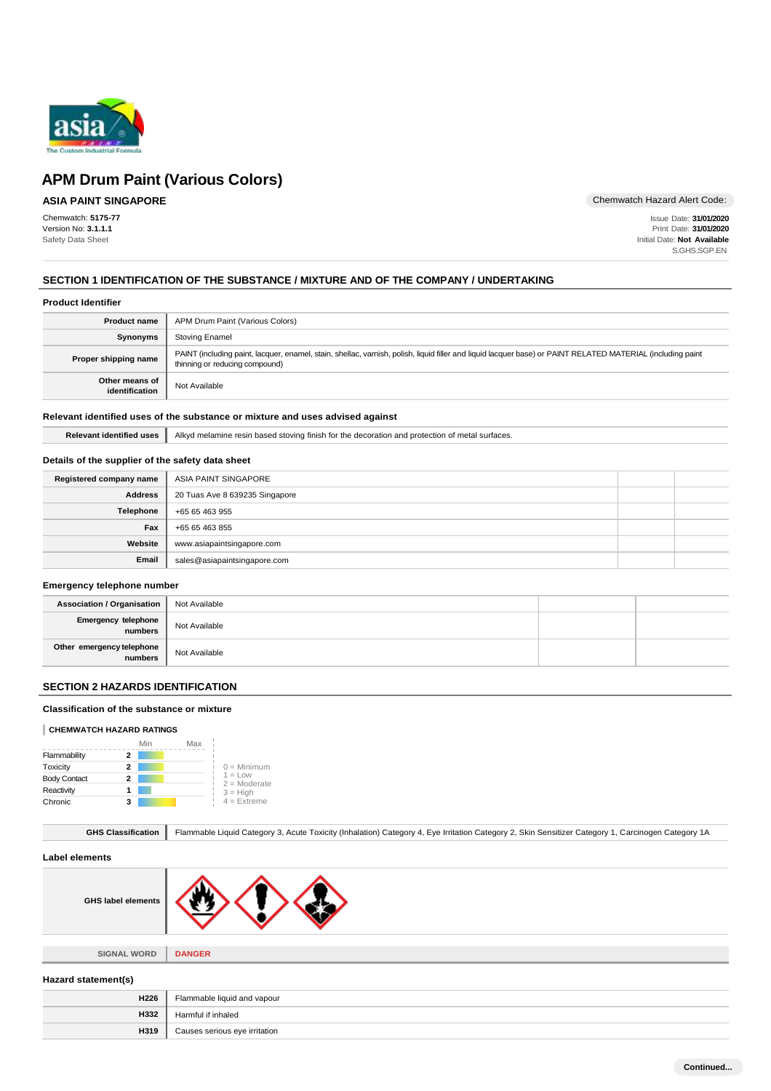

# **ASIA PAINT SINGAPORE**

Chemwatch: **5175-77** Version No: **3.1.1.1** Safety Data Sheet

Chemwatch Hazard Alert Code:

Issue Date: **31/01/2020** Print Date: **31/01/2020** Initial Date: **Not Available** S.GHS.SGP.EN

# **SECTION 1 IDENTIFICATION OF THE SUBSTANCE / MIXTURE AND OF THE COMPANY / UNDERTAKING**

#### **Product Identifier**

| <b>Product name</b>              | APM Drum Paint (Various Colors)                                                                                                                                                               |
|----------------------------------|-----------------------------------------------------------------------------------------------------------------------------------------------------------------------------------------------|
| <b>Synonyms</b>                  | Stoving Enamel                                                                                                                                                                                |
| Proper shipping name             | PAINT (including paint, lacquer, enamel, stain, shellac, varnish, polish, liquid filler and liquid lacquer base) or PAINT RELATED MATERIAL (including paint<br>thinning or reducing compound) |
| Other means of<br>identification | Not Available                                                                                                                                                                                 |

#### **Relevant identified uses of the substance or mixture and uses advised against**

**Relevant identified uses** Alkyd melamine resin based stoving finish for the decoration and protection of metal surfaces.

# **Details of the supplier of the safety data sheet**

| Registered company name | ASIA PAINT SINGAPORE           |  |
|-------------------------|--------------------------------|--|
| <b>Address</b>          | 20 Tuas Ave 8 639235 Singapore |  |
| Telephone               | +65 65 463 955                 |  |
| Fax                     | +65 65 463 855                 |  |
| Website                 | www.asiapaintsingapore.com     |  |
| Email                   | sales@asiapaintsingapore.com   |  |

#### **Emergency telephone number**

| <b>Association / Organisation</b>    | Not Available |  |
|--------------------------------------|---------------|--|
| Emergency telephone<br>numbers       | Not Available |  |
| Other emergency telephone<br>numbers | Not Available |  |

#### **SECTION 2 HAZARDS IDENTIFICATION**

#### **Classification of the substance or mixture**

#### **CHEMWATCH HAZARD RATINGS**

|                     |   | Min | Max |                              |
|---------------------|---|-----|-----|------------------------------|
| Flammability        | 2 |     |     |                              |
| Toxicity            | 2 |     |     | $0 =$ Minimum                |
| <b>Body Contact</b> | 2 |     |     | $1 = L$ ow<br>$2 =$ Moderate |
| Reactivity          |   |     |     | $3 = High$                   |
| Chronic             | 3 |     |     | $4 =$ Extreme                |

|  | GHS Classification   Flammable Liquid Category 3, Acute Toxicity (Inhalation) Category 4, Eye Irritation Category 2, Skin Sensitizer Category 1, Carcinogen Category 1A |
|--|-------------------------------------------------------------------------------------------------------------------------------------------------------------------------|
|--|-------------------------------------------------------------------------------------------------------------------------------------------------------------------------|

#### **Label elements**

| <b>GHS label elements</b> |  |
|---------------------------|--|
|                           |  |

**SIGNAL WORD DANGER**

#### **Hazard statement(s)**

| H <sub>226</sub> | Flammable liquid and vapour   |
|------------------|-------------------------------|
| H332             | Harmful if inhaled            |
| H319             | Causes serious eye irritation |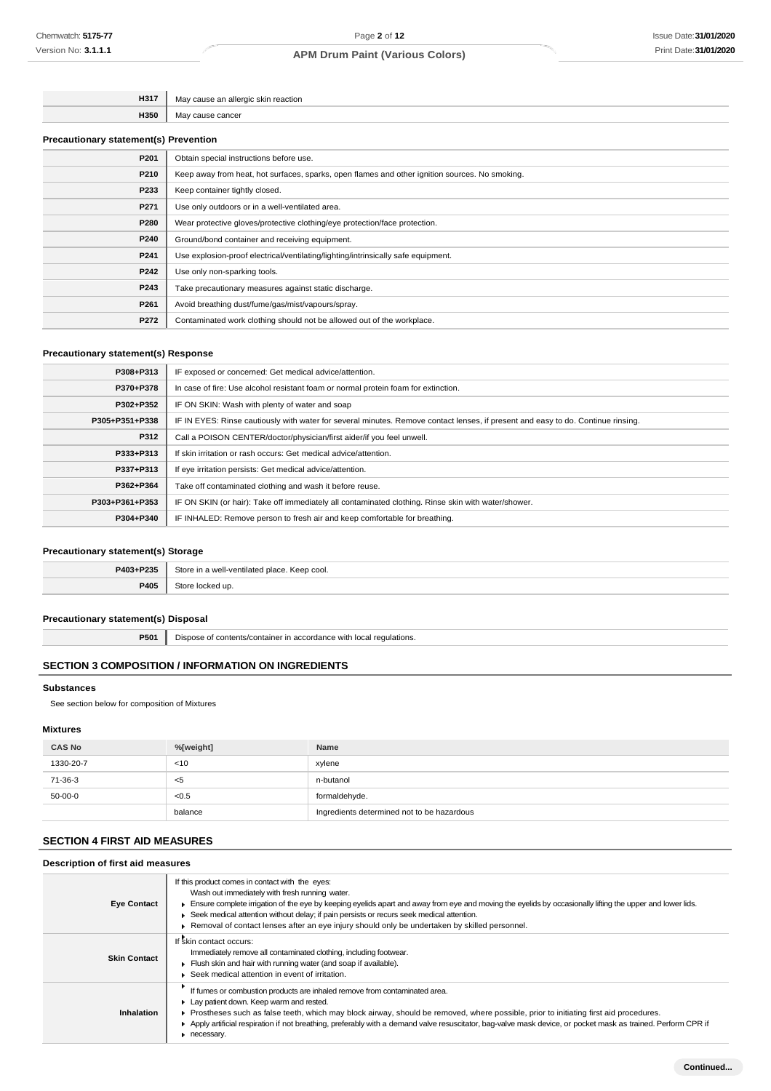| H317 | action   |
|------|----------|
| H350 | יממ<br>. |
|      |          |

# **Precautionary statement(s) Prevention**

| P201 | Obtain special instructions before use.                                                        |  |
|------|------------------------------------------------------------------------------------------------|--|
| P210 | Keep away from heat, hot surfaces, sparks, open flames and other ignition sources. No smoking. |  |
| P233 | Keep container tightly closed.                                                                 |  |
| P271 | Use only outdoors or in a well-ventilated area.                                                |  |
| P280 | Wear protective gloves/protective clothing/eye protection/face protection.                     |  |
| P240 | Ground/bond container and receiving equipment.                                                 |  |
| P241 | Use explosion-proof electrical/ventilating/lighting/intrinsically safe equipment.              |  |
| P242 | Use only non-sparking tools.                                                                   |  |
| P243 | Take precautionary measures against static discharge.                                          |  |
| P261 | Avoid breathing dust/fume/gas/mist/vapours/spray.                                              |  |
| P272 | Contaminated work clothing should not be allowed out of the workplace.                         |  |

## **Precautionary statement(s) Response**

| P308+P313      | IF exposed or concerned: Get medical advice/attention.                                                                           |  |  |
|----------------|----------------------------------------------------------------------------------------------------------------------------------|--|--|
| P370+P378      | In case of fire: Use alcohol resistant foam or normal protein foam for extinction.                                               |  |  |
| P302+P352      | IF ON SKIN: Wash with plenty of water and soap                                                                                   |  |  |
| P305+P351+P338 | IF IN EYES: Rinse cautiously with water for several minutes. Remove contact lenses, if present and easy to do. Continue rinsing. |  |  |
| P312           | Call a POISON CENTER/doctor/physician/first aider/if you feel unwell.                                                            |  |  |
| P333+P313      | If skin irritation or rash occurs: Get medical advice/attention.                                                                 |  |  |
| P337+P313      | If eye irritation persists: Get medical advice/attention.                                                                        |  |  |
| P362+P364      | Take off contaminated clothing and wash it before reuse.                                                                         |  |  |
| P303+P361+P353 | IF ON SKIN (or hair): Take off immediately all contaminated clothing. Rinse skin with water/shower.                              |  |  |
| P304+P340      | IF INHALED: Remove person to fresh air and keep comfortable for breathing.                                                       |  |  |
|                |                                                                                                                                  |  |  |

# **Precautionary statement(s) Storage**

| <b>PAN3</b><br><b>DOOF</b><br>-233 | ⊇t∩ri<br><b>Dlace</b><br>$\hat{ }$ Keep cool.<br>hatelıtaav.<br>. |
|------------------------------------|-------------------------------------------------------------------|
| <b>P405</b>                        | $_{7}$ tor $_{2}$                                                 |

# **Precautionary statement(s) Disposal**

**P501** Dispose of contents/container in accordance with local regulations.

#### **SECTION 3 COMPOSITION / INFORMATION ON INGREDIENTS**

# **Substances**

See section below for composition of Mixtures

# **Mixtures**

| <b>CAS No</b> | %[weight] | Name                                       |
|---------------|-----------|--------------------------------------------|
| 1330-20-7     | $<$ 10    | xylene                                     |
| 71-36-3       | <5        | n-butanol                                  |
| $50-00-0$     | < 0.5     | formaldehyde.                              |
|               | balance   | Ingredients determined not to be hazardous |

# **SECTION 4 FIRST AID MEASURES**

# **Description of first aid measures**

| <b>Eye Contact</b>  | If this product comes in contact with the eyes:<br>Wash out immediately with fresh running water.<br>Ensure complete irrigation of the eye by keeping eyelids apart and away from eye and moving the eyelids by occasionally lifting the upper and lower lids.<br>▶ Seek medical attention without delay; if pain persists or recurs seek medical attention.<br>► Removal of contact lenses after an eye injury should only be undertaken by skilled personnel. |
|---------------------|-----------------------------------------------------------------------------------------------------------------------------------------------------------------------------------------------------------------------------------------------------------------------------------------------------------------------------------------------------------------------------------------------------------------------------------------------------------------|
| <b>Skin Contact</b> | If skin contact occurs:<br>Immediately remove all contaminated clothing, including footwear.<br>Flush skin and hair with running water (and soap if available).<br>▶ Seek medical attention in event of irritation.                                                                                                                                                                                                                                             |
| Inhalation          | If fumes or combustion products are inhaled remove from contaminated area.<br>Lay patient down. Keep warm and rested.<br>Prostheses such as false teeth, which may block airway, should be removed, where possible, prior to initiating first aid procedures.<br>Apply artificial respiration if not breathing, preferably with a demand valve resuscitator, bag-valve mask device, or pocket mask as trained. Perform CPR if<br>necessary.                     |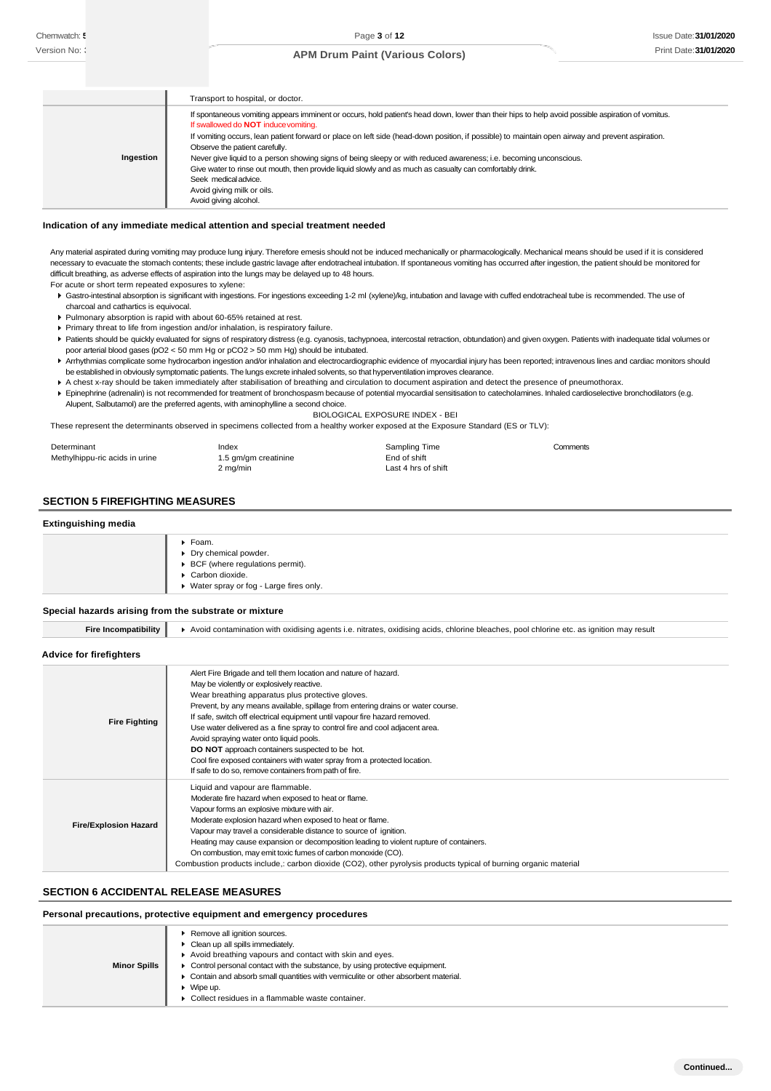|           | Transport to hospital, or doctor.                                                                                                                                                         |
|-----------|-------------------------------------------------------------------------------------------------------------------------------------------------------------------------------------------|
|           | If spontaneous vomiting appears imminent or occurs, hold patient's head down, lower than their hips to help avoid possible aspiration of vomitus.<br>If swallowed do NOT induce vomiting. |
|           | If vomiting occurs, lean patient forward or place on left side (head-down position, if possible) to maintain open airway and prevent aspiration.                                          |
|           | Observe the patient carefully.                                                                                                                                                            |
| Ingestion | Never give liquid to a person showing signs of being sleepy or with reduced awareness; i.e. becoming unconscious.                                                                         |
|           | Give water to rinse out mouth, then provide liquid slowly and as much as casualty can comfortably drink.                                                                                  |
|           | Seek medical advice.                                                                                                                                                                      |
|           | Avoid giving milk or oils.                                                                                                                                                                |
|           | Avoid giving alcohol.                                                                                                                                                                     |

#### **Indication of any immediate medical attention and special treatment needed**

Any material aspirated during vomiting may produce lung injury. Therefore emesis should not be induced mechanically or pharmacologically. Mechanical means should be used if it is considered necessary to evacuate the stomach contents; these include gastric lavage after endotracheal intubation. If spontaneous vomiting has occurred after ingestion, the patient should be monitored for difficult breathing, as adverse effects of aspiration into the lungs may be delayed up to 48 hours.

- For acute or short term repeated exposures to xylene:
- Gastro-intestinal absorption is significant with ingestions. For ingestions exceeding 1-2 ml (xylene)/kg, intubation and lavage with cuffed endotracheal tube is recommended. The use of charcoal and cathartics is equivocal.
- Pulmonary absorption is rapid with about 60-65% retained at rest.
- Primary threat to life from ingestion and/or inhalation, is respiratory failure.
- Patients should be quickly evaluated for signs of respiratory distress (e.g. cyanosis, tachypnoea, intercostal retraction, obtundation) and given oxygen. Patients with inadequate tidal volumes or poor arterial blood gases (pO2 < 50 mm Hg or pCO2 > 50 mm Hg) should be intubated.
- Arrhythmias complicate some hydrocarbon ingestion and/or inhalation and electrocardiographic evidence of myocardial injury has been reported; intravenous lines and cardiac monitors should be established in obviously symptomatic patients. The lungs excrete inhaled solvents, so that hyperventilation improves clearance.
- A chest x-ray should be taken immediately after stabilisation of breathing and circulation to document aspiration and detect the presence of pneumothorax.
- ▶ Epinephrine (adrenalin) is not recommended for treatment of bronchospasm because of potential myocardial sensitisation to catecholamines. Inhaled cardioselective bronchodilators (e.g. Alupent, Salbutamol) are the preferred agents, with aminophylline a second choice.

#### BIOLOGICAL EXPOSURE INDEX - BEI

These represent the determinants observed in specimens collected from a healthy worker exposed at the Exposure Standard (ES or TLV):

| Determinant                    | Index                | Sampling Time       | Comments |
|--------------------------------|----------------------|---------------------|----------|
| Methylhippu-ric acids in urine | 1.5 gm/gm creatinine | End of shift        |          |
|                                | 2 mg/min             | Last 4 hrs of shift |          |

#### **SECTION 5 FIREFIGHTING MEASURES**

## **Extinguishing media**

| Foam.<br>٠                               |
|------------------------------------------|
| Dry chemical powder.                     |
| ▶ BCF (where regulations permit).        |
| Carbon dioxide.                          |
| ▶ Water spray or fog - Large fires only. |
|                                          |

#### **Special hazards arising from the substrate or mixture**

**Fire Incompatibility >** Avoid contamination with oxidising agents i.e. nitrates, oxidising acids, chlorine bleaches, pool chlorine etc. as ignition may result

**Advice for firefighters**

| <b>Fire Fighting</b>         | Alert Fire Brigade and tell them location and nature of hazard.<br>May be violently or explosively reactive.<br>Wear breathing apparatus plus protective gloves.<br>Prevent, by any means available, spillage from entering drains or water course.<br>If safe, switch off electrical equipment until vapour fire hazard removed.<br>Use water delivered as a fine spray to control fire and cool adjacent area.<br>Avoid spraying water onto liquid pools.<br><b>DO NOT</b> approach containers suspected to be hot.<br>Cool fire exposed containers with water spray from a protected location.<br>If safe to do so, remove containers from path of fire. |
|------------------------------|-------------------------------------------------------------------------------------------------------------------------------------------------------------------------------------------------------------------------------------------------------------------------------------------------------------------------------------------------------------------------------------------------------------------------------------------------------------------------------------------------------------------------------------------------------------------------------------------------------------------------------------------------------------|
| <b>Fire/Explosion Hazard</b> | Liquid and vapour are flammable.<br>Moderate fire hazard when exposed to heat or flame.<br>Vapour forms an explosive mixture with air.<br>Moderate explosion hazard when exposed to heat or flame.<br>Vapour may travel a considerable distance to source of ignition.<br>Heating may cause expansion or decomposition leading to violent rupture of containers.<br>On combustion, may emit toxic fumes of carbon monoxide (CO).<br>Combustion products include,: carbon dioxide (CO2), other pyrolysis products typical of burning organic material                                                                                                        |

#### **SECTION 6 ACCIDENTAL RELEASE MEASURES**

## **Personal precautions, protective equipment and emergency procedures**

|                     | Remove all ignition sources.                                                        |
|---------------------|-------------------------------------------------------------------------------------|
|                     | Clean up all spills immediately.                                                    |
|                     | Avoid breathing vapours and contact with skin and eyes.                             |
| <b>Minor Spills</b> | • Control personal contact with the substance, by using protective equipment.       |
|                     | • Contain and absorb small quantities with vermiculite or other absorbent material. |
|                     | $\blacktriangleright$ Wipe up.                                                      |
|                     | ▶ Collect residues in a flammable waste container.                                  |
|                     |                                                                                     |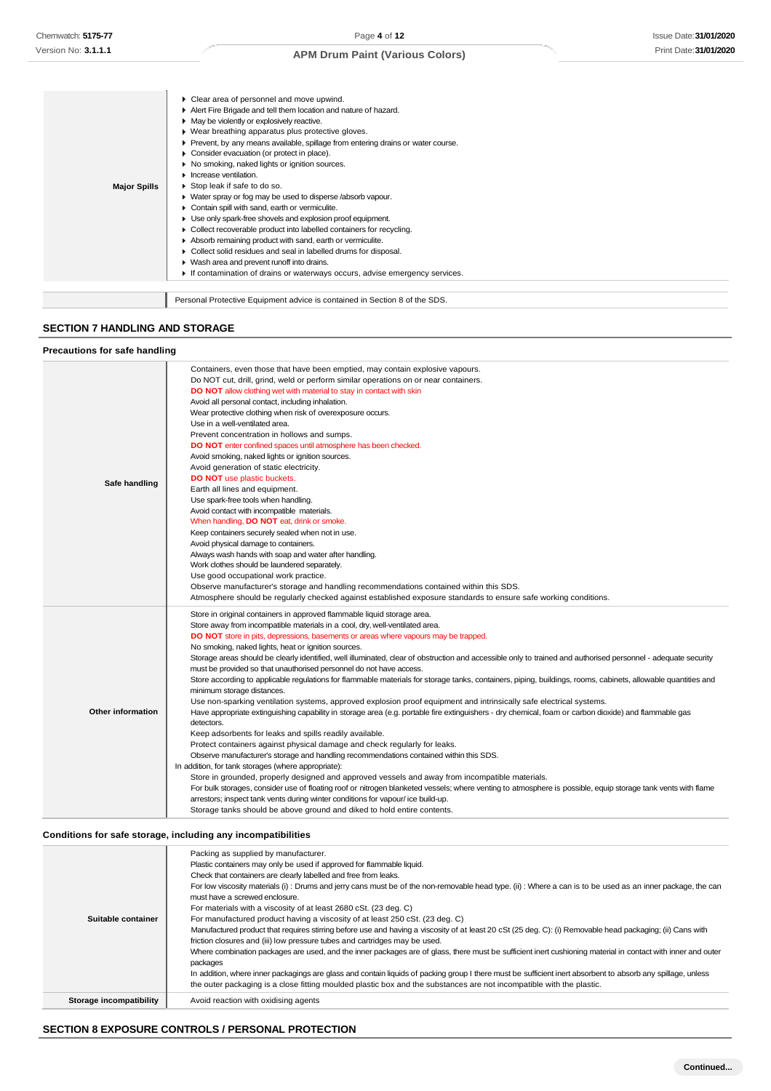Clear area of personnel and move upwind.

|                     | Clear area of personnel and move upwind.                                          |
|---------------------|-----------------------------------------------------------------------------------|
|                     | Alert Fire Brigade and tell them location and nature of hazard.                   |
|                     | • May be violently or explosively reactive.                                       |
|                     | ▶ Wear breathing apparatus plus protective gloves.                                |
|                     | ▶ Prevent, by any means available, spillage from entering drains or water course. |
|                     | • Consider evacuation (or protect in place).                                      |
|                     | ▶ No smoking, naked lights or ignition sources.                                   |
|                     | $\blacktriangleright$ Increase ventilation.                                       |
| <b>Major Spills</b> | Stop leak if safe to do so.                                                       |
|                     | • Water spray or fog may be used to disperse /absorb vapour.                      |
|                     | Contain spill with sand, earth or vermiculite.                                    |
|                     | Use only spark-free shovels and explosion proof equipment.                        |
|                     | • Collect recoverable product into labelled containers for recycling.             |
|                     | Absorb remaining product with sand, earth or vermiculite.                         |
|                     | Collect solid residues and seal in labelled drums for disposal.                   |
|                     | ▶ Wash area and prevent runoff into drains.                                       |
|                     | If contamination of drains or waterways occurs, advise emergency services.        |
|                     |                                                                                   |
|                     | Personal Protective Equipment advice is contained in Section 8 of the SDS.        |
|                     |                                                                                   |

## **SECTION 7 HANDLING AND STORAGE**

 $\overline{\phantom{a}}$ 

#### **Precautions for safe handling Safe handling** Containers, even those that have been emptied, may contain explosive vapours. Do NOT cut, drill, grind, weld or perform similar operations on or near containers. **DO NOT** allow clothing wet with material to stay in contact with skin Avoid all personal contact, including inhalation. Wear protective clothing when risk of overexposure occurs. Use in a well-ventilated area. Prevent concentration in hollows and sumps. **DO NOT** enter confined spaces until atmosphere has been checked. Avoid smoking, naked lights or ignition sources. Avoid generation of static electricity. **DO NOT** use plastic buckets. Earth all lines and equipment. Use spark-free tools when handling. Avoid contact with incompatible materials. When handling, **DO NOT** eat, drink or smoke. Keep containers securely sealed when not in use. Avoid physical damage to containers. Always wash hands with soap and water after handling. Work clothes should be laundered separately. Use good occupational work practice. Observe manufacturer's storage and handling recommendations contained within this SDS. Atmosphere should be regularly checked against established exposure standards to ensure safe working conditions. **Other information** Store in original containers in approved flammable liquid storage area. Store away from incompatible materials in a cool, dry, well-ventilated area. **DO NOT** store in pits, depressions, basements or areas where vapours may be trapped. No smoking, naked lights, heat or ignition sources. Storage areas should be clearly identified, well illuminated, clear of obstruction and accessible only to trained and authorised personnel - adequate security must be provided so that unauthorised personnel do not have access. Store according to applicable regulations for flammable materials for storage tanks, containers, piping, buildings, rooms, cabinets, allowable quantities and minimum storage distances. Use non-sparking ventilation systems, approved explosion proof equipment and intrinsically safe electrical systems. Have appropriate extinguishing capability in storage area (e.g. portable fire extinguishers - dry chemical, foam or carbon dioxide) and flammable gas detectors Keep adsorbents for leaks and spills readily available. Protect containers against physical damage and check regularly for leaks. Observe manufacturer's storage and handling recommendations contained within this SDS. In addition, for tank storages (where appropriate): Store in grounded, properly designed and approved vessels and away from incompatible materials. For bulk storages, consider use of floating roof or nitrogen blanketed vessels; where venting to atmosphere is possible, equip storage tank vents with flame arrestors; inspect tank vents during winter conditions for vapour/ ice build-up. Storage tanks should be above ground and diked to hold entire contents.

#### **Conditions for safe storage, including any incompatibilities**

|                         | Packing as supplied by manufacturer.                                                                                                                         |
|-------------------------|--------------------------------------------------------------------------------------------------------------------------------------------------------------|
|                         | Plastic containers may only be used if approved for flammable liquid.                                                                                        |
|                         | Check that containers are clearly labelled and free from leaks.                                                                                              |
|                         | For low viscosity materials (i): Drums and jerry cans must be of the non-removable head type. (ii): Where a can is to be used as an inner package, the can   |
|                         | must have a screwed enclosure.                                                                                                                               |
|                         | For materials with a viscosity of at least 2680 cSt. (23 deg. C)                                                                                             |
| Suitable container      | For manufactured product having a viscosity of at least 250 cSt. (23 deg. C)                                                                                 |
|                         | Manufactured product that requires stirring before use and having a viscosity of at least 20 cSt (25 deg. C): (i) Removable head packaging; (ii) Cans with   |
|                         | friction closures and (iii) low pressure tubes and cartridges may be used.                                                                                   |
|                         | Where combination packages are used, and the inner packages are of glass, there must be sufficient inert cushioning material in contact with inner and outer |
|                         | packages                                                                                                                                                     |
|                         | In addition, where inner packagings are glass and contain liquids of packing group I there must be sufficient inert absorbent to absorb any spillage, unless |
|                         | the outer packaging is a close fitting moulded plastic box and the substances are not incompatible with the plastic.                                         |
|                         |                                                                                                                                                              |
| Storage incompatibility | Avoid reaction with oxidising agents                                                                                                                         |

# **SECTION 8 EXPOSURE CONTROLS / PERSONAL PROTECTION**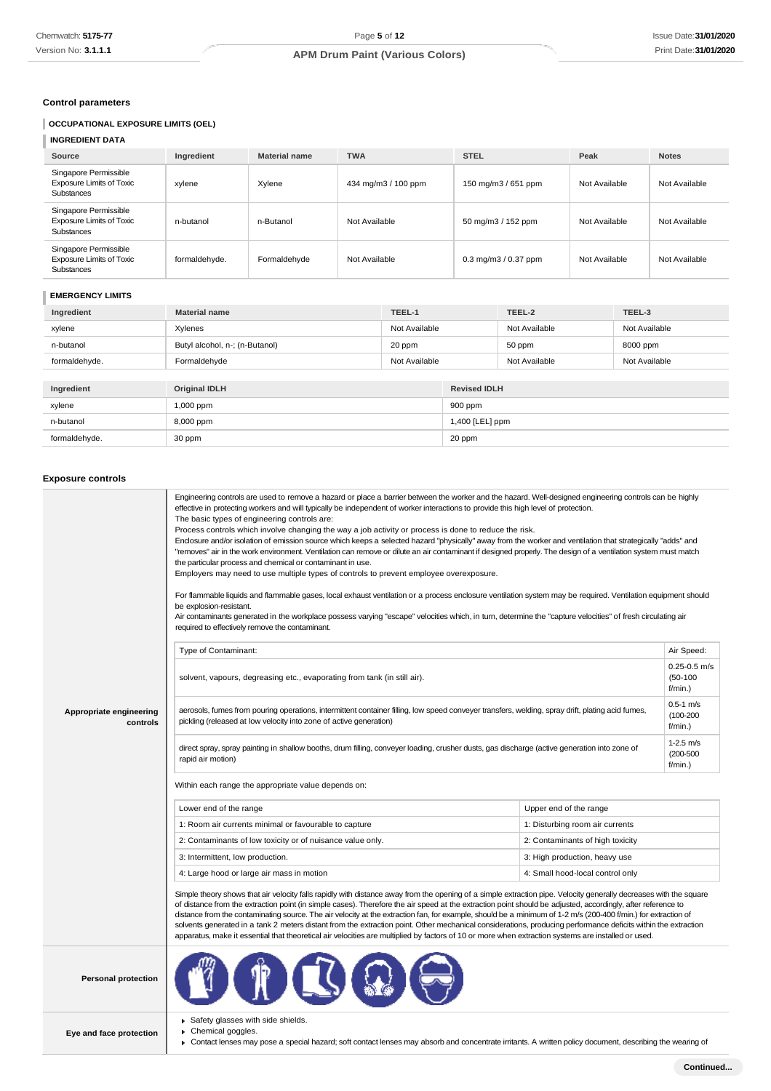# **Control parameters**

# **OCCUPATIONAL EXPOSURE LIMITS (OEL)**

# **INGREDIENT DATA**

| Source                                                                        | Ingredient    | <b>Material name</b> | <b>TWA</b>          | <b>STEL</b>                                   | Peak          | <b>Notes</b>  |
|-------------------------------------------------------------------------------|---------------|----------------------|---------------------|-----------------------------------------------|---------------|---------------|
| Singapore Permissible<br><b>Exposure Limits of Toxic</b><br><b>Substances</b> | xylene        | Xylene               | 434 mg/m3 / 100 ppm | 150 mg/m3 / 651 ppm                           | Not Available | Not Available |
| Singapore Permissible<br><b>Exposure Limits of Toxic</b><br><b>Substances</b> | n-butanol     | n-Butanol            | Not Available       | 50 mg/m3 / 152 ppm                            | Not Available | Not Available |
| Singapore Permissible<br><b>Exposure Limits of Toxic</b><br>Substances        | formaldehyde. | Formaldehyde         | Not Available       | $0.3 \,\mathrm{mq/m}$ $3/0.37 \,\mathrm{ppm}$ | Not Available | Not Available |

# **EMERGENCY LIMITS**

| Ingredient    | TEEL-1<br><b>Material name</b> |               |                     | TEEL-2        | TEEL-3        |
|---------------|--------------------------------|---------------|---------------------|---------------|---------------|
| xylene        | Xylenes                        | Not Available |                     | Not Available | Not Available |
| n-butanol     | Butyl alcohol, n-; (n-Butanol) | 20 ppm        |                     | 50 ppm        | 8000 ppm      |
| formaldehyde. | Formaldehyde                   | Not Available |                     | Not Available | Not Available |
|               |                                |               |                     |               |               |
| Ingredient    | <b>Original IDLH</b>           |               | <b>Revised IDLH</b> |               |               |
| xylene        | 1,000 ppm                      |               | 900 ppm             |               |               |
| n-butanol     | 8,000 ppm                      |               | 1,400 [LEL] ppm     |               |               |
| formaldehyde. | 30 ppm                         |               | 20 ppm              |               |               |

#### **Exposure controls**

J.

|                                     | Engineering controls are used to remove a hazard or place a barrier between the worker and the hazard. Well-designed engineering controls can be highly<br>effective in protecting workers and will typically be independent of worker interactions to provide this high level of protection.<br>The basic types of engineering controls are:<br>Process controls which involve changing the way a job activity or process is done to reduce the risk.<br>Enclosure and/or isolation of emission source which keeps a selected hazard "physically" away from the worker and ventilation that strategically "adds" and<br>"removes" air in the work environment. Ventilation can remove or dilute an air contaminant if designed properly. The design of a ventilation system must match<br>the particular process and chemical or contaminant in use.<br>Employers may need to use multiple types of controls to prevent employee overexposure.<br>For flammable liquids and flammable gases, local exhaust ventilation or a process enclosure ventilation system may be required. Ventilation equipment should<br>be explosion-resistant.<br>Air contaminants generated in the workplace possess varying "escape" velocities which, in turn, determine the "capture velocities" of fresh circulating air<br>required to effectively remove the contaminant. |                                  |                                           |  |
|-------------------------------------|--------------------------------------------------------------------------------------------------------------------------------------------------------------------------------------------------------------------------------------------------------------------------------------------------------------------------------------------------------------------------------------------------------------------------------------------------------------------------------------------------------------------------------------------------------------------------------------------------------------------------------------------------------------------------------------------------------------------------------------------------------------------------------------------------------------------------------------------------------------------------------------------------------------------------------------------------------------------------------------------------------------------------------------------------------------------------------------------------------------------------------------------------------------------------------------------------------------------------------------------------------------------------------------------------------------------------------------------------------------|----------------------------------|-------------------------------------------|--|
|                                     | Type of Contaminant:                                                                                                                                                                                                                                                                                                                                                                                                                                                                                                                                                                                                                                                                                                                                                                                                                                                                                                                                                                                                                                                                                                                                                                                                                                                                                                                                         |                                  | Air Speed:                                |  |
|                                     | solvent, vapours, degreasing etc., evaporating from tank (in still air).                                                                                                                                                                                                                                                                                                                                                                                                                                                                                                                                                                                                                                                                                                                                                                                                                                                                                                                                                                                                                                                                                                                                                                                                                                                                                     |                                  | $0.25 - 0.5$ m/s<br>$(50-100)$<br>f/min.) |  |
| Appropriate engineering<br>controls | aerosols, fumes from pouring operations, intermittent container filling, low speed conveyer transfers, welding, spray drift, plating acid fumes,<br>pickling (released at low velocity into zone of active generation)                                                                                                                                                                                                                                                                                                                                                                                                                                                                                                                                                                                                                                                                                                                                                                                                                                                                                                                                                                                                                                                                                                                                       |                                  |                                           |  |
|                                     | direct spray, spray painting in shallow booths, drum filling, conveyer loading, crusher dusts, gas discharge (active generation into zone of<br>rapid air motion)                                                                                                                                                                                                                                                                                                                                                                                                                                                                                                                                                                                                                                                                                                                                                                                                                                                                                                                                                                                                                                                                                                                                                                                            |                                  |                                           |  |
|                                     | Within each range the appropriate value depends on:                                                                                                                                                                                                                                                                                                                                                                                                                                                                                                                                                                                                                                                                                                                                                                                                                                                                                                                                                                                                                                                                                                                                                                                                                                                                                                          |                                  |                                           |  |
|                                     | Lower end of the range                                                                                                                                                                                                                                                                                                                                                                                                                                                                                                                                                                                                                                                                                                                                                                                                                                                                                                                                                                                                                                                                                                                                                                                                                                                                                                                                       | Upper end of the range           |                                           |  |
|                                     | 1: Room air currents minimal or favourable to capture                                                                                                                                                                                                                                                                                                                                                                                                                                                                                                                                                                                                                                                                                                                                                                                                                                                                                                                                                                                                                                                                                                                                                                                                                                                                                                        | 1: Disturbing room air currents  |                                           |  |
|                                     | 2: Contaminants of low toxicity or of nuisance value only.                                                                                                                                                                                                                                                                                                                                                                                                                                                                                                                                                                                                                                                                                                                                                                                                                                                                                                                                                                                                                                                                                                                                                                                                                                                                                                   | 2: Contaminants of high toxicity |                                           |  |
|                                     | 3: Intermittent, low production.                                                                                                                                                                                                                                                                                                                                                                                                                                                                                                                                                                                                                                                                                                                                                                                                                                                                                                                                                                                                                                                                                                                                                                                                                                                                                                                             | 3: High production, heavy use    |                                           |  |
|                                     | 4: Large hood or large air mass in motion                                                                                                                                                                                                                                                                                                                                                                                                                                                                                                                                                                                                                                                                                                                                                                                                                                                                                                                                                                                                                                                                                                                                                                                                                                                                                                                    | 4: Small hood-local control only |                                           |  |
|                                     | Simple theory shows that air velocity falls rapidly with distance away from the opening of a simple extraction pipe. Velocity generally decreases with the square<br>of distance from the extraction point (in simple cases). Therefore the air speed at the extraction point should be adjusted, accordingly, after reference to<br>distance from the contaminating source. The air velocity at the extraction fan, for example, should be a minimum of 1-2 m/s (200-400 f/min.) for extraction of<br>solvents generated in a tank 2 meters distant from the extraction point. Other mechanical considerations, producing performance deficits within the extraction<br>apparatus, make it essential that theoretical air velocities are multiplied by factors of 10 or more when extraction systems are installed or used.                                                                                                                                                                                                                                                                                                                                                                                                                                                                                                                                 |                                  |                                           |  |
| <b>Personal protection</b>          |                                                                                                                                                                                                                                                                                                                                                                                                                                                                                                                                                                                                                                                                                                                                                                                                                                                                                                                                                                                                                                                                                                                                                                                                                                                                                                                                                              |                                  |                                           |  |
| Eye and face protection             | Safety glasses with side shields.<br>Chemical goggles.<br>► Contact lenses may pose a special hazard; soft contact lenses may absorb and concentrate irritants. A written policy document, describing the wearing of                                                                                                                                                                                                                                                                                                                                                                                                                                                                                                                                                                                                                                                                                                                                                                                                                                                                                                                                                                                                                                                                                                                                         |                                  |                                           |  |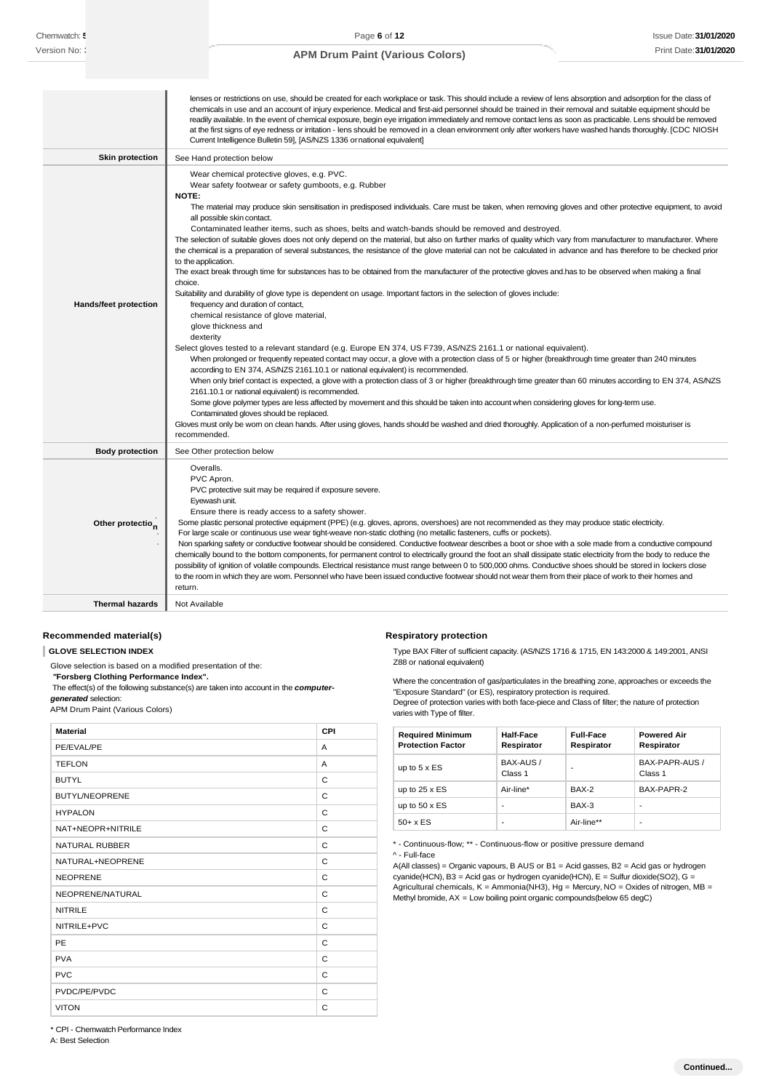|                              | lenses or restrictions on use, should be created for each workplace or task. This should include a review of lens absorption and adsorption for the class of<br>chemicals in use and an account of injury experience. Medical and first-aid personnel should be trained in their removal and suitable equipment should be<br>readily available. In the event of chemical exposure, begin eye irrigation immediately and remove contact lens as soon as practicable. Lens should be removed<br>at the first signs of eye redness or irritation - lens should be removed in a clean environment only after workers have washed hands thoroughly. [CDC NIOSH<br>Current Intelligence Bulletin 59], [AS/NZS 1336 ornational equivalent]                                                                                                                                                                                                                                                                                                                                                                                                                                                                                                                                                                                                                                                                                                                                                                                                                                                                                                                                                                                                                                                                                                                                                                                                                                                                                                                                                                                                                |
|------------------------------|----------------------------------------------------------------------------------------------------------------------------------------------------------------------------------------------------------------------------------------------------------------------------------------------------------------------------------------------------------------------------------------------------------------------------------------------------------------------------------------------------------------------------------------------------------------------------------------------------------------------------------------------------------------------------------------------------------------------------------------------------------------------------------------------------------------------------------------------------------------------------------------------------------------------------------------------------------------------------------------------------------------------------------------------------------------------------------------------------------------------------------------------------------------------------------------------------------------------------------------------------------------------------------------------------------------------------------------------------------------------------------------------------------------------------------------------------------------------------------------------------------------------------------------------------------------------------------------------------------------------------------------------------------------------------------------------------------------------------------------------------------------------------------------------------------------------------------------------------------------------------------------------------------------------------------------------------------------------------------------------------------------------------------------------------------------------------------------------------------------------------------------------------|
| <b>Skin protection</b>       | See Hand protection below                                                                                                                                                                                                                                                                                                                                                                                                                                                                                                                                                                                                                                                                                                                                                                                                                                                                                                                                                                                                                                                                                                                                                                                                                                                                                                                                                                                                                                                                                                                                                                                                                                                                                                                                                                                                                                                                                                                                                                                                                                                                                                                          |
| <b>Hands/feet protection</b> | Wear chemical protective gloves, e.g. PVC.<br>Wear safety footwear or safety gumboots, e.g. Rubber<br><b>NOTE:</b><br>The material may produce skin sensitisation in predisposed individuals. Care must be taken, when removing gloves and other protective equipment, to avoid<br>all possible skin contact.<br>Contaminated leather items, such as shoes, belts and watch-bands should be removed and destroyed.<br>The selection of suitable gloves does not only depend on the material, but also on further marks of quality which vary from manufacturer to manufacturer. Where<br>the chemical is a preparation of several substances, the resistance of the glove material can not be calculated in advance and has therefore to be checked prior<br>to the application.<br>The exact break through time for substances has to be obtained from the manufacturer of the protective gloves and has to be observed when making a final<br>choice.<br>Suitability and durability of glove type is dependent on usage. Important factors in the selection of gloves include:<br>frequency and duration of contact,<br>chemical resistance of glove material,<br>glove thickness and<br>dexterity<br>Select gloves tested to a relevant standard (e.g. Europe EN 374, US F739, AS/NZS 2161.1 or national equivalent).<br>When prolonged or frequently repeated contact may occur, a glove with a protection class of 5 or higher (breakthrough time greater than 240 minutes<br>according to EN 374, AS/NZS 2161.10.1 or national equivalent) is recommended.<br>When only brief contact is expected, a glove with a protection class of 3 or higher (breakthrough time greater than 60 minutes according to EN 374, AS/NZS<br>2161.10.1 or national equivalent) is recommended.<br>Some glove polymer types are less affected by movement and this should be taken into account when considering gloves for long-term use.<br>Contaminated gloves should be replaced.<br>Gloves must only be wom on clean hands. After using gloves, hands should be washed and dried thoroughly. Application of a non-perfumed moisturiser is<br>recommended. |
| <b>Body protection</b>       | See Other protection below                                                                                                                                                                                                                                                                                                                                                                                                                                                                                                                                                                                                                                                                                                                                                                                                                                                                                                                                                                                                                                                                                                                                                                                                                                                                                                                                                                                                                                                                                                                                                                                                                                                                                                                                                                                                                                                                                                                                                                                                                                                                                                                         |
| Other protectio <sub>n</sub> | Overalls.<br>PVC Apron.<br>PVC protective suit may be required if exposure severe.<br>Eyewash unit.<br>Ensure there is ready access to a safety shower.<br>Some plastic personal protective equipment (PPE) (e.g. gloves, aprons, overshoes) are not recommended as they may produce static electricity.<br>For large scale or continuous use wear tight-weave non-static clothing (no metallic fasteners, cuffs or pockets).<br>Non sparking safety or conductive footwear should be considered. Conductive footwear describes a boot or shoe with a sole made from a conductive compound<br>chemically bound to the bottom components, for permanent control to electrically ground the foot an shall dissipate static electricity from the body to reduce the<br>possibility of ignition of volatile compounds. Electrical resistance must range between 0 to 500,000 ohms. Conductive shoes should be stored in lockers close<br>to the room in which they are worn. Personnel who have been issued conductive footwear should not wear them from their place of work to their homes and<br>return.                                                                                                                                                                                                                                                                                                                                                                                                                                                                                                                                                                                                                                                                                                                                                                                                                                                                                                                                                                                                                                            |
| <b>Thermal hazards</b>       | Not Available                                                                                                                                                                                                                                                                                                                                                                                                                                                                                                                                                                                                                                                                                                                                                                                                                                                                                                                                                                                                                                                                                                                                                                                                                                                                                                                                                                                                                                                                                                                                                                                                                                                                                                                                                                                                                                                                                                                                                                                                                                                                                                                                      |

# **Recommended material(s)**

# **GLOVE SELECTION INDEX**

Glove selection is based on a modified presentation of the:

*"***Forsberg Clothing Performance Index".** The effect(s) of the following substance(s) are taken into account in the *computergenerated* selection:

APM Drum Paint (Various Colors)

| <b>Material</b>       | CPI |
|-----------------------|-----|
| PE/EVAL/PE            | A   |
| <b>TEFLON</b>         | A   |
| <b>BUTYL</b>          | C   |
| <b>BUTYL/NEOPRENE</b> | C   |
| <b>HYPALON</b>        | C   |
| NAT+NEOPR+NITRILE     | C   |
| <b>NATURAL RUBBER</b> | C   |
| NATURAL+NEOPRENE      | C   |
| <b>NEOPRENE</b>       | C   |
| NEOPRENE/NATURAL      | C   |
| <b>NITRILE</b>        | C   |
| NITRILE+PVC           | C   |
| PE                    | C   |
| <b>PVA</b>            | C   |
| <b>PVC</b>            | C   |
| PVDC/PE/PVDC          | C   |
| <b>VITON</b>          | C   |

**Respiratory protection**

Type BAX Filter of sufficient capacity. (AS/NZS 1716 & 1715, EN 143:2000 & 149:2001, ANSI Z88 or national equivalent)

Where the concentration of gas/particulates in the breathing zone, approaches or exceeds the "Exposure Standard" (or ES), respiratory protection is required.

Degree of protection varies with both face-piece and Class of filter; the nature of protection varies with Type of filter.

| <b>Required Minimum</b><br><b>Protection Factor</b> | Half-Face<br>Respirator | <b>Full-Face</b><br>Respirator | <b>Powered Air</b><br>Respirator |
|-----------------------------------------------------|-------------------------|--------------------------------|----------------------------------|
| up to $5 \times ES$                                 | BAX-AUS /<br>Class 1    |                                | BAX-PAPR-AUS /<br>Class 1        |
| up to $25 \times ES$                                | Air-line*               | BAX-2                          | BAX-PAPR-2                       |
| up to $50 \times ES$                                | ۰                       | BAX-3                          |                                  |
| $50+ x ES$                                          | ۰                       | Air-line**                     | -                                |

\* - Continuous-flow; \*\* - Continuous-flow or positive pressure demand

^ - Full-face

A(All classes) = Organic vapours, B AUS or B1 = Acid gasses, B2 = Acid gas or hydrogen cyanide(HCN), B3 = Acid gas or hydrogen cyanide(HCN), E = Sulfur dioxide(SO2), G = Agricultural chemicals,  $K =$  Ammonia(NH3), Hg = Mercury, NO = Oxides of nitrogen, MB = Methyl bromide,  $AX = Low$  boiling point organic compounds(below 65 degC)

\* CPI - Chemwatch Performance Index

A: Best Selection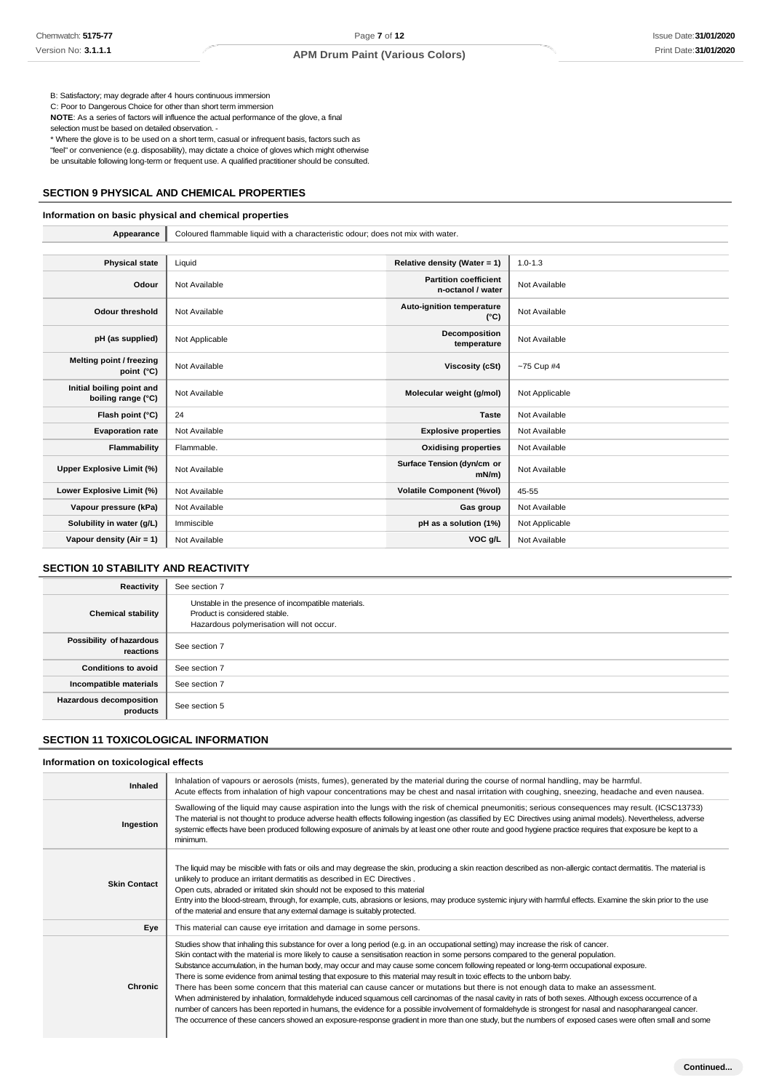B: Satisfactory; may degrade after 4 hours continuous immersion

C: Poor to Dangerous Choice for other than short term immersion **NOTE**: As a series of factors will influence the actual performance of the glove, a final

selection must be based on detailed observation. -

\* Where the glove is to be used on a short term, casual or infrequent basis, factors such as

"feel" or convenience (e.g. disposability), may dictate a choice of gloves which might otherwise

be unsuitable following long-term or frequent use. A qualified practitioner should be consulted.

# **SECTION 9 PHYSICAL AND CHEMICAL PROPERTIES**

#### **Information on basic physical and chemical properties**

| Appearance                                      | Coloured flammable liquid with a characteristic odour; does not mix with water. |                                                   |                |
|-------------------------------------------------|---------------------------------------------------------------------------------|---------------------------------------------------|----------------|
|                                                 |                                                                                 |                                                   |                |
| <b>Physical state</b>                           | Liquid                                                                          | Relative density (Water = 1)                      | $1.0 - 1.3$    |
| Odour                                           | Not Available                                                                   | <b>Partition coefficient</b><br>n-octanol / water | Not Available  |
| <b>Odour threshold</b>                          | Not Available                                                                   | Auto-ignition temperature<br>$(^{\circ}C)$        | Not Available  |
| pH (as supplied)                                | Not Applicable                                                                  | Decomposition<br>temperature                      | Not Available  |
| Melting point / freezing<br>point (°C)          | Not Available                                                                   | Viscosity (cSt)                                   | $-75$ Cup #4   |
| Initial boiling point and<br>boiling range (°C) | Not Available                                                                   | Molecular weight (g/mol)                          | Not Applicable |
| Flash point (°C)                                | 24                                                                              | <b>Taste</b>                                      | Not Available  |
| <b>Evaporation rate</b>                         | Not Available                                                                   | <b>Explosive properties</b>                       | Not Available  |
| Flammability                                    | Flammable.                                                                      | <b>Oxidising properties</b>                       | Not Available  |
| Upper Explosive Limit (%)                       | Not Available                                                                   | Surface Tension (dyn/cm or<br>$mN/m$ )            | Not Available  |
| Lower Explosive Limit (%)                       | Not Available                                                                   | <b>Volatile Component (%vol)</b>                  | 45-55          |
| Vapour pressure (kPa)                           | Not Available                                                                   | Gas group                                         | Not Available  |
| Solubility in water (g/L)                       | Immiscible                                                                      | pH as a solution (1%)                             | Not Applicable |
| Vapour density $(Air = 1)$                      | Not Available                                                                   | VOC g/L                                           | Not Available  |

# **SECTION 10 STABILITY AND REACTIVITY**

| Reactivity                                 | See section 7                                                                                                                    |
|--------------------------------------------|----------------------------------------------------------------------------------------------------------------------------------|
| <b>Chemical stability</b>                  | Unstable in the presence of incompatible materials.<br>Product is considered stable.<br>Hazardous polymerisation will not occur. |
| Possibility of hazardous<br>reactions      | See section 7                                                                                                                    |
| <b>Conditions to avoid</b>                 | See section 7                                                                                                                    |
| Incompatible materials                     | See section 7                                                                                                                    |
| <b>Hazardous decomposition</b><br>products | See section 5                                                                                                                    |

# **SECTION 11 TOXICOLOGICAL INFORMATION**

#### **Information on toxicological effects**

| Inhaled             | Inhalation of vapours or aerosols (mists, fumes), generated by the material during the course of normal handling, may be harmful.<br>Acute effects from inhalation of high vapour concentrations may be chest and nasal irritation with coughing, sneezing, headache and even nausea.                                                                                                                                                                                                                                                                                                                                                                                                                                                                                                                                                                                                                                                                                                                                                                                                                                                                                    |
|---------------------|--------------------------------------------------------------------------------------------------------------------------------------------------------------------------------------------------------------------------------------------------------------------------------------------------------------------------------------------------------------------------------------------------------------------------------------------------------------------------------------------------------------------------------------------------------------------------------------------------------------------------------------------------------------------------------------------------------------------------------------------------------------------------------------------------------------------------------------------------------------------------------------------------------------------------------------------------------------------------------------------------------------------------------------------------------------------------------------------------------------------------------------------------------------------------|
| Ingestion           | Swallowing of the liquid may cause aspiration into the lungs with the risk of chemical pneumonitis; serious consequences may result. (ICSC13733)<br>The material is not thought to produce adverse health effects following ingestion (as classified by EC Directives using animal models). Nevertheless, adverse<br>systemic effects have been produced following exposure of animals by at least one other route and good hygiene practice requires that exposure be kept to a<br>minimum.                                                                                                                                                                                                                                                                                                                                                                                                                                                                                                                                                                                                                                                                             |
| <b>Skin Contact</b> | The liquid may be miscible with fats or oils and may degrease the skin, producing a skin reaction described as non-allergic contact dermatitis. The material is<br>unlikely to produce an irritant dermatitis as described in EC Directives.<br>Open cuts, abraded or irritated skin should not be exposed to this material<br>Entry into the blood-stream, through, for example, cuts, abrasions or lesions, may produce systemic injury with harmful effects. Examine the skin prior to the use<br>of the material and ensure that any external damage is suitably protected.                                                                                                                                                                                                                                                                                                                                                                                                                                                                                                                                                                                          |
| Eye                 | This material can cause eye irritation and damage in some persons.                                                                                                                                                                                                                                                                                                                                                                                                                                                                                                                                                                                                                                                                                                                                                                                                                                                                                                                                                                                                                                                                                                       |
| <b>Chronic</b>      | Studies show that inhaling this substance for over a long period (e.g. in an occupational setting) may increase the risk of cancer.<br>Skin contact with the material is more likely to cause a sensitisation reaction in some persons compared to the general population.<br>Substance accumulation, in the human body, may occur and may cause some concern following repeated or long-term occupational exposure.<br>There is some evidence from animal testing that exposure to this material may result in toxic effects to the unbom baby.<br>There has been some concern that this material can cause cancer or mutations but there is not enough data to make an assessment.<br>When administered by inhalation, formaldehyde induced squamous cell carcinomas of the nasal cavity in rats of both sexes. Although excess occurrence of a<br>number of cancers has been reported in humans, the evidence for a possible involvement of formaldehyde is strongest for nasal and nasopharangeal cancer.<br>The occurrence of these cancers showed an exposure-response gradient in more than one study, but the numbers of exposed cases were often small and some |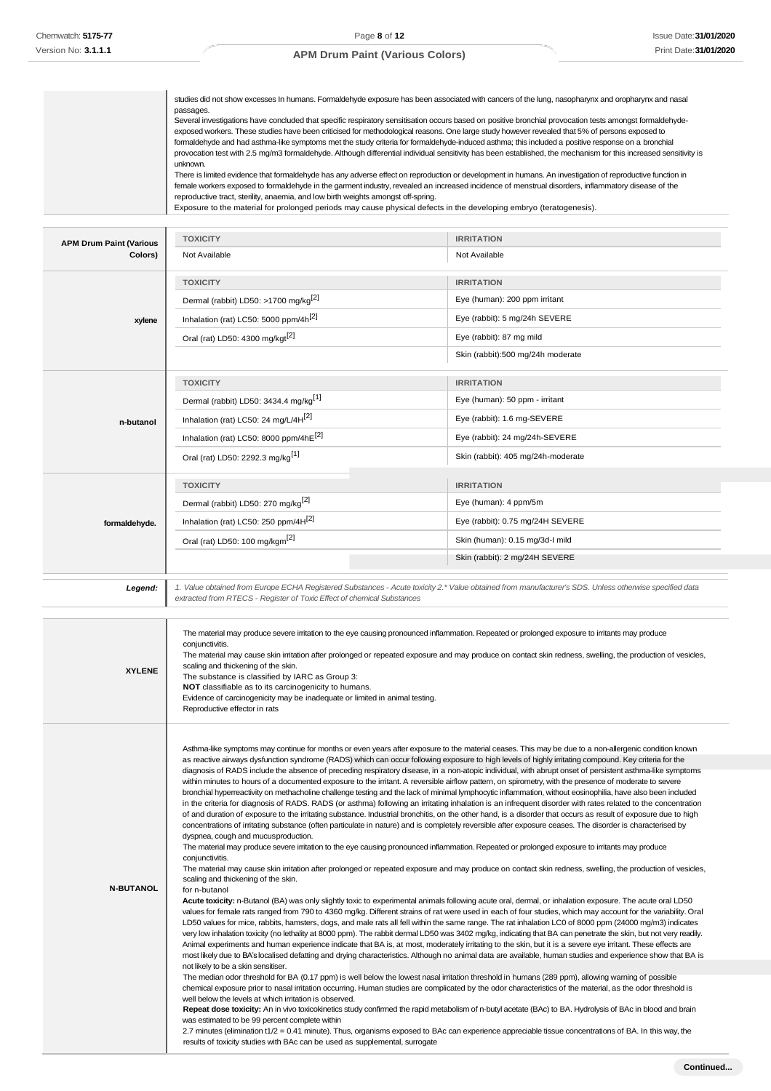passages.

# **APM Drum Paint (Various Colors)**

studies did not show excesses In humans. Formaldehyde exposure has been associated with cancers of the lung, nasopharynx and oropharynx and nasal

|                                           | unknown.<br>reproductive tract, sterility, anaemia, and low birth weights amongst off-spring.<br>Exposure to the material for prolonged periods may cause physical defects in the developing embryo (teratogenesis).                                                               | Several investigations have concluded that specific respiratory sensitisation occurs based on positive bronchial provocation tests amongst formaldehyde-<br>exposed workers. These studies have been criticised for methodological reasons. One large study however revealed that 5% of persons exposed to<br>formaldehyde and had asthma-like symptoms met the study criteria for formaldehyde-induced asthma; this included a positive response on a bronchial<br>provocation test with 2.5 mg/m3 formaldehyde. Although differential individual sensitivity has been established, the mechanism for this increased sensitivity is<br>There is limited evidence that formaldehyde has any adverse effect on reproduction or development in humans. An investigation of reproductive function in<br>female workers exposed to formaldehyde in the garment industry, revealed an increased incidence of menstrual disorders, inflammatory disease of the                                                                                                                                                                                                                                                                                                                                                                                                                                                                                                                                                                                                                                                                                                                                                                                                                                                                                                                                                                                                                                                                                                                                                                                                                                                                                                                                                                                                                                                                                                                                                                                                                                                                                                                                                                                                          |
|-------------------------------------------|------------------------------------------------------------------------------------------------------------------------------------------------------------------------------------------------------------------------------------------------------------------------------------|-------------------------------------------------------------------------------------------------------------------------------------------------------------------------------------------------------------------------------------------------------------------------------------------------------------------------------------------------------------------------------------------------------------------------------------------------------------------------------------------------------------------------------------------------------------------------------------------------------------------------------------------------------------------------------------------------------------------------------------------------------------------------------------------------------------------------------------------------------------------------------------------------------------------------------------------------------------------------------------------------------------------------------------------------------------------------------------------------------------------------------------------------------------------------------------------------------------------------------------------------------------------------------------------------------------------------------------------------------------------------------------------------------------------------------------------------------------------------------------------------------------------------------------------------------------------------------------------------------------------------------------------------------------------------------------------------------------------------------------------------------------------------------------------------------------------------------------------------------------------------------------------------------------------------------------------------------------------------------------------------------------------------------------------------------------------------------------------------------------------------------------------------------------------------------------------------------------------------------------------------------------------------------------------------------------------------------------------------------------------------------------------------------------------------------------------------------------------------------------------------------------------------------------------------------------------------------------------------------------------------------------------------------------------------------------------------------------------------------------------------------------------|
|                                           | <b>TOXICITY</b>                                                                                                                                                                                                                                                                    | <b>IRRITATION</b>                                                                                                                                                                                                                                                                                                                                                                                                                                                                                                                                                                                                                                                                                                                                                                                                                                                                                                                                                                                                                                                                                                                                                                                                                                                                                                                                                                                                                                                                                                                                                                                                                                                                                                                                                                                                                                                                                                                                                                                                                                                                                                                                                                                                                                                                                                                                                                                                                                                                                                                                                                                                                                                                                                                                                 |
| <b>APM Drum Paint (Various</b><br>Colors) | Not Available                                                                                                                                                                                                                                                                      | Not Available                                                                                                                                                                                                                                                                                                                                                                                                                                                                                                                                                                                                                                                                                                                                                                                                                                                                                                                                                                                                                                                                                                                                                                                                                                                                                                                                                                                                                                                                                                                                                                                                                                                                                                                                                                                                                                                                                                                                                                                                                                                                                                                                                                                                                                                                                                                                                                                                                                                                                                                                                                                                                                                                                                                                                     |
|                                           |                                                                                                                                                                                                                                                                                    |                                                                                                                                                                                                                                                                                                                                                                                                                                                                                                                                                                                                                                                                                                                                                                                                                                                                                                                                                                                                                                                                                                                                                                                                                                                                                                                                                                                                                                                                                                                                                                                                                                                                                                                                                                                                                                                                                                                                                                                                                                                                                                                                                                                                                                                                                                                                                                                                                                                                                                                                                                                                                                                                                                                                                                   |
|                                           | <b>TOXICITY</b><br>Dermal (rabbit) LD50: >1700 mg/kg <sup>[2]</sup>                                                                                                                                                                                                                | <b>IRRITATION</b><br>Eye (human): 200 ppm irritant                                                                                                                                                                                                                                                                                                                                                                                                                                                                                                                                                                                                                                                                                                                                                                                                                                                                                                                                                                                                                                                                                                                                                                                                                                                                                                                                                                                                                                                                                                                                                                                                                                                                                                                                                                                                                                                                                                                                                                                                                                                                                                                                                                                                                                                                                                                                                                                                                                                                                                                                                                                                                                                                                                                |
|                                           | Inhalation (rat) LC50: 5000 ppm/4h <sup>[2]</sup>                                                                                                                                                                                                                                  | Eye (rabbit): 5 mg/24h SEVERE                                                                                                                                                                                                                                                                                                                                                                                                                                                                                                                                                                                                                                                                                                                                                                                                                                                                                                                                                                                                                                                                                                                                                                                                                                                                                                                                                                                                                                                                                                                                                                                                                                                                                                                                                                                                                                                                                                                                                                                                                                                                                                                                                                                                                                                                                                                                                                                                                                                                                                                                                                                                                                                                                                                                     |
| xylene                                    | Oral (rat) LD50: 4300 mg/kgt <sup>[2]</sup>                                                                                                                                                                                                                                        | Eye (rabbit): 87 mg mild                                                                                                                                                                                                                                                                                                                                                                                                                                                                                                                                                                                                                                                                                                                                                                                                                                                                                                                                                                                                                                                                                                                                                                                                                                                                                                                                                                                                                                                                                                                                                                                                                                                                                                                                                                                                                                                                                                                                                                                                                                                                                                                                                                                                                                                                                                                                                                                                                                                                                                                                                                                                                                                                                                                                          |
|                                           |                                                                                                                                                                                                                                                                                    | Skin (rabbit):500 mg/24h moderate                                                                                                                                                                                                                                                                                                                                                                                                                                                                                                                                                                                                                                                                                                                                                                                                                                                                                                                                                                                                                                                                                                                                                                                                                                                                                                                                                                                                                                                                                                                                                                                                                                                                                                                                                                                                                                                                                                                                                                                                                                                                                                                                                                                                                                                                                                                                                                                                                                                                                                                                                                                                                                                                                                                                 |
|                                           |                                                                                                                                                                                                                                                                                    |                                                                                                                                                                                                                                                                                                                                                                                                                                                                                                                                                                                                                                                                                                                                                                                                                                                                                                                                                                                                                                                                                                                                                                                                                                                                                                                                                                                                                                                                                                                                                                                                                                                                                                                                                                                                                                                                                                                                                                                                                                                                                                                                                                                                                                                                                                                                                                                                                                                                                                                                                                                                                                                                                                                                                                   |
|                                           | <b>TOXICITY</b>                                                                                                                                                                                                                                                                    | <b>IRRITATION</b>                                                                                                                                                                                                                                                                                                                                                                                                                                                                                                                                                                                                                                                                                                                                                                                                                                                                                                                                                                                                                                                                                                                                                                                                                                                                                                                                                                                                                                                                                                                                                                                                                                                                                                                                                                                                                                                                                                                                                                                                                                                                                                                                                                                                                                                                                                                                                                                                                                                                                                                                                                                                                                                                                                                                                 |
|                                           | Dermal (rabbit) LD50: 3434.4 mg/kg <sup>[1]</sup>                                                                                                                                                                                                                                  | Eye (human): 50 ppm - irritant                                                                                                                                                                                                                                                                                                                                                                                                                                                                                                                                                                                                                                                                                                                                                                                                                                                                                                                                                                                                                                                                                                                                                                                                                                                                                                                                                                                                                                                                                                                                                                                                                                                                                                                                                                                                                                                                                                                                                                                                                                                                                                                                                                                                                                                                                                                                                                                                                                                                                                                                                                                                                                                                                                                                    |
| n-butanol                                 | Inhalation (rat) LC50: 24 mg/L/4H <sup>[2]</sup>                                                                                                                                                                                                                                   | Eye (rabbit): 1.6 mg-SEVERE                                                                                                                                                                                                                                                                                                                                                                                                                                                                                                                                                                                                                                                                                                                                                                                                                                                                                                                                                                                                                                                                                                                                                                                                                                                                                                                                                                                                                                                                                                                                                                                                                                                                                                                                                                                                                                                                                                                                                                                                                                                                                                                                                                                                                                                                                                                                                                                                                                                                                                                                                                                                                                                                                                                                       |
|                                           | Inhalation (rat) LC50: 8000 ppm/4hE[2]                                                                                                                                                                                                                                             | Eye (rabbit): 24 mg/24h-SEVERE                                                                                                                                                                                                                                                                                                                                                                                                                                                                                                                                                                                                                                                                                                                                                                                                                                                                                                                                                                                                                                                                                                                                                                                                                                                                                                                                                                                                                                                                                                                                                                                                                                                                                                                                                                                                                                                                                                                                                                                                                                                                                                                                                                                                                                                                                                                                                                                                                                                                                                                                                                                                                                                                                                                                    |
|                                           | Oral (rat) LD50: 2292.3 mg/kg <sup>[1]</sup>                                                                                                                                                                                                                                       | Skin (rabbit): 405 mg/24h-moderate                                                                                                                                                                                                                                                                                                                                                                                                                                                                                                                                                                                                                                                                                                                                                                                                                                                                                                                                                                                                                                                                                                                                                                                                                                                                                                                                                                                                                                                                                                                                                                                                                                                                                                                                                                                                                                                                                                                                                                                                                                                                                                                                                                                                                                                                                                                                                                                                                                                                                                                                                                                                                                                                                                                                |
|                                           | <b>TOXICITY</b>                                                                                                                                                                                                                                                                    | <b>IRRITATION</b>                                                                                                                                                                                                                                                                                                                                                                                                                                                                                                                                                                                                                                                                                                                                                                                                                                                                                                                                                                                                                                                                                                                                                                                                                                                                                                                                                                                                                                                                                                                                                                                                                                                                                                                                                                                                                                                                                                                                                                                                                                                                                                                                                                                                                                                                                                                                                                                                                                                                                                                                                                                                                                                                                                                                                 |
|                                           | Dermal (rabbit) LD50: 270 mg/kg <sup>[2]</sup>                                                                                                                                                                                                                                     | Eye (human): 4 ppm/5m                                                                                                                                                                                                                                                                                                                                                                                                                                                                                                                                                                                                                                                                                                                                                                                                                                                                                                                                                                                                                                                                                                                                                                                                                                                                                                                                                                                                                                                                                                                                                                                                                                                                                                                                                                                                                                                                                                                                                                                                                                                                                                                                                                                                                                                                                                                                                                                                                                                                                                                                                                                                                                                                                                                                             |
|                                           | Inhalation (rat) LC50: 250 ppm/4H <sup>[2]</sup>                                                                                                                                                                                                                                   | Eye (rabbit): 0.75 mg/24H SEVERE                                                                                                                                                                                                                                                                                                                                                                                                                                                                                                                                                                                                                                                                                                                                                                                                                                                                                                                                                                                                                                                                                                                                                                                                                                                                                                                                                                                                                                                                                                                                                                                                                                                                                                                                                                                                                                                                                                                                                                                                                                                                                                                                                                                                                                                                                                                                                                                                                                                                                                                                                                                                                                                                                                                                  |
| formaldehyde.                             |                                                                                                                                                                                                                                                                                    |                                                                                                                                                                                                                                                                                                                                                                                                                                                                                                                                                                                                                                                                                                                                                                                                                                                                                                                                                                                                                                                                                                                                                                                                                                                                                                                                                                                                                                                                                                                                                                                                                                                                                                                                                                                                                                                                                                                                                                                                                                                                                                                                                                                                                                                                                                                                                                                                                                                                                                                                                                                                                                                                                                                                                                   |
|                                           | Oral (rat) LD50: 100 mg/kgm <sup>[2]</sup>                                                                                                                                                                                                                                         | Skin (human): 0.15 mg/3d-I mild<br>Skin (rabbit): 2 mg/24H SEVERE                                                                                                                                                                                                                                                                                                                                                                                                                                                                                                                                                                                                                                                                                                                                                                                                                                                                                                                                                                                                                                                                                                                                                                                                                                                                                                                                                                                                                                                                                                                                                                                                                                                                                                                                                                                                                                                                                                                                                                                                                                                                                                                                                                                                                                                                                                                                                                                                                                                                                                                                                                                                                                                                                                 |
|                                           |                                                                                                                                                                                                                                                                                    |                                                                                                                                                                                                                                                                                                                                                                                                                                                                                                                                                                                                                                                                                                                                                                                                                                                                                                                                                                                                                                                                                                                                                                                                                                                                                                                                                                                                                                                                                                                                                                                                                                                                                                                                                                                                                                                                                                                                                                                                                                                                                                                                                                                                                                                                                                                                                                                                                                                                                                                                                                                                                                                                                                                                                                   |
| Legend:                                   | extracted from RTECS - Register of Toxic Effect of chemical Substances                                                                                                                                                                                                             | 1. Value obtained from Europe ECHA Registered Substances - Acute toxicity 2.* Value obtained from manufacturer's SDS. Unless otherwise specified data                                                                                                                                                                                                                                                                                                                                                                                                                                                                                                                                                                                                                                                                                                                                                                                                                                                                                                                                                                                                                                                                                                                                                                                                                                                                                                                                                                                                                                                                                                                                                                                                                                                                                                                                                                                                                                                                                                                                                                                                                                                                                                                                                                                                                                                                                                                                                                                                                                                                                                                                                                                                             |
| <b>XYLENE</b>                             | conjunctivitis.<br>scaling and thickening of the skin.<br>The substance is classified by IARC as Group 3:<br>NOT classifiable as to its carcinogenicity to humans.<br>Evidence of carcinogenicity may be inadequate or limited in animal testing.<br>Reproductive effector in rats | The material may produce severe irritation to the eye causing pronounced inflammation. Repeated or prolonged exposure to irritants may produce<br>The material may cause skin irritation after prolonged or repeated exposure and may produce on contact skin redness, swelling, the production of vesicles,                                                                                                                                                                                                                                                                                                                                                                                                                                                                                                                                                                                                                                                                                                                                                                                                                                                                                                                                                                                                                                                                                                                                                                                                                                                                                                                                                                                                                                                                                                                                                                                                                                                                                                                                                                                                                                                                                                                                                                                                                                                                                                                                                                                                                                                                                                                                                                                                                                                      |
|                                           |                                                                                                                                                                                                                                                                                    |                                                                                                                                                                                                                                                                                                                                                                                                                                                                                                                                                                                                                                                                                                                                                                                                                                                                                                                                                                                                                                                                                                                                                                                                                                                                                                                                                                                                                                                                                                                                                                                                                                                                                                                                                                                                                                                                                                                                                                                                                                                                                                                                                                                                                                                                                                                                                                                                                                                                                                                                                                                                                                                                                                                                                                   |
| <b>N-BUTANOL</b>                          | dyspnea, cough and mucus production.<br>conjunctivitis.<br>scaling and thickening of the skin.<br>for n-butanol<br>not likely to be a skin sensitiser.                                                                                                                             | Asthma-like symptoms may continue for months or even years after exposure to the material ceases. This may be due to a non-allergenic condition known<br>as reactive airways dysfunction syndrome (RADS) which can occur following exposure to high levels of highly irritating compound. Key criteria for the<br>diagnosis of RADS include the absence of preceding respiratory disease, in a non-atopic individual, with abrupt onset of persistent asthma-like symptoms<br>within minutes to hours of a documented exposure to the irritant. A reversible airflow pattern, on spirometry, with the presence of moderate to severe<br>bronchial hyperreactivity on methacholine challenge testing and the lack of minimal lymphocytic inflammation, without eosinophilia, have also been included<br>in the criteria for diagnosis of RADS. RADS (or asthma) following an irritating inhalation is an infrequent disorder with rates related to the concentration<br>of and duration of exposure to the irritating substance. Industrial bronchitis, on the other hand, is a disorder that occurs as result of exposure due to high<br>concentrations of irritating substance (often particulate in nature) and is completely reversible after exposure ceases. The disorder is characterised by<br>The material may produce severe irritation to the eye causing pronounced inflammation. Repeated or prolonged exposure to irritants may produce<br>The material may cause skin irritation after prolonged or repeated exposure and may produce on contact skin redness, swelling, the production of vesicles,<br>Acute toxicity: n-Butanol (BA) was only slightly toxic to experimental animals following acute oral, dermal, or inhalation exposure. The acute oral LD50<br>values for female rats ranged from 790 to 4360 mg/kg. Different strains of rat were used in each of four studies, which may account for the variability. Oral<br>LD50 values for mice, rabbits, hamsters, dogs, and male rats all fell within the same range. The rat inhalation LC0 of 8000 ppm (24000 mg/m3) indicates<br>very low inhalation toxicity (no lethality at 8000 ppm). The rabbit dermal LD50 was 3402 mg/kg, indicating that BA can penetrate the skin, but not very readily.<br>Animal experiments and human experience indicate that BA is, at most, moderately irritating to the skin, but it is a severe eye irritant. These effects are<br>most likely due to BA's localised defatting and drying characteristics. Although no animal data are available, human studies and experience show that BA is<br>The median odor threshold for BA (0.17 ppm) is well below the lowest nasal irritation threshold in humans (289 ppm), allowing warning of possible |
|                                           | well below the levels at which irritation is observed.<br>was estimated to be 99 percent complete within                                                                                                                                                                           | chemical exposure prior to nasal irritation occurring. Human studies are complicated by the odor characteristics of the material, as the odor threshold is<br>Repeat dose toxicity: An in vivo toxicokinetics study confirmed the rapid metabolism of n-butyl acetate (BAc) to BA. Hydrolysis of BAc in blood and brain<br>2.7 minutes (elimination t1/2 = 0.41 minute). Thus, organisms exposed to BAc can experience appreciable tissue concentrations of BA. In this way, the                                                                                                                                                                                                                                                                                                                                                                                                                                                                                                                                                                                                                                                                                                                                                                                                                                                                                                                                                                                                                                                                                                                                                                                                                                                                                                                                                                                                                                                                                                                                                                                                                                                                                                                                                                                                                                                                                                                                                                                                                                                                                                                                                                                                                                                                                  |

results of toxicity studies with BAc can be used as supplemental, surrogate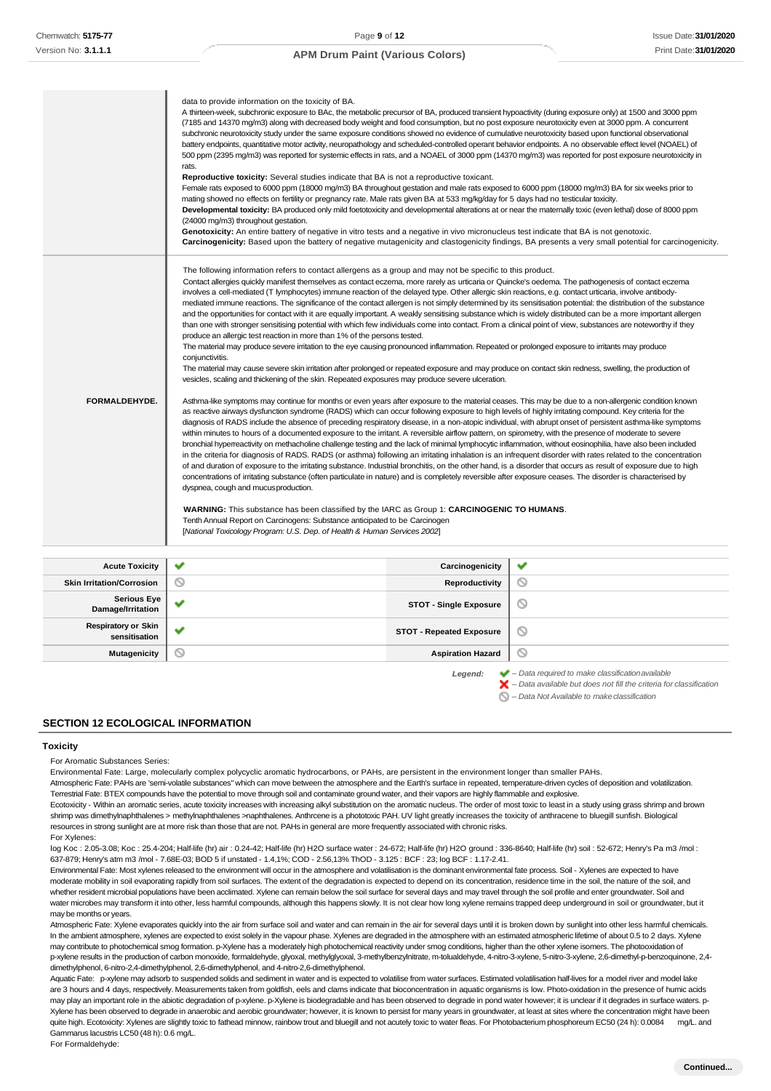|                                             | data to provide information on the toxicity of BA.<br>A thirteen-week, subchronic exposure to BAc, the metabolic precursor of BA, produced transient hypoactivity (during exposure only) at 1500 and 3000 ppm<br>(7185 and 14370 mg/m3) along with decreased body weight and food consumption, but no post exposure neurotoxicity even at 3000 ppm. A concurrent<br>subchronic neurotoxicity study under the same exposure conditions showed no evidence of cumulative neurotoxicity based upon functional observational<br>battery endpoints, quantitative motor activity, neuropathology and scheduled-controlled operant behavior endpoints. A no observable effect level (NOAEL) of<br>500 ppm (2395 mg/m3) was reported for systemic effects in rats, and a NOAEL of 3000 ppm (14370 mg/m3) was reported for post exposure neurotoxicity in<br>rats.<br>Reproductive toxicity: Several studies indicate that BA is not a reproductive toxicant.<br>Female rats exposed to 6000 ppm (18000 mg/m3) BA throughout gestation and male rats exposed to 6000 ppm (18000 mg/m3) BA for six weeks prior to<br>mating showed no effects on fertility or pregnancy rate. Male rats given BA at 533 mg/kg/day for 5 days had no testicular toxicity.<br>Developmental toxicity: BA produced only mild foetotoxicity and developmental alterations at or near the matemally toxic (even lethal) dose of 8000 ppm<br>(24000 mg/m3) throughout gestation.<br>Genotoxicity: An entire battery of negative in vitro tests and a negative in vivo micronucleus test indicate that BA is not genotoxic.                                                                                                                                                                                                                                                                                                                                                                                                                                                                                                                                                                                                                                                                                                                                                                                                                                                                                                                                                                                                                                                                                                                                                                                                                                                                                                                                                                                                                                                      |                                 | Carcinogenicity: Based upon the battery of negative mutagenicity and clastogenicity findings, BA presents a very small potential for carcinogenicity. |
|---------------------------------------------|-------------------------------------------------------------------------------------------------------------------------------------------------------------------------------------------------------------------------------------------------------------------------------------------------------------------------------------------------------------------------------------------------------------------------------------------------------------------------------------------------------------------------------------------------------------------------------------------------------------------------------------------------------------------------------------------------------------------------------------------------------------------------------------------------------------------------------------------------------------------------------------------------------------------------------------------------------------------------------------------------------------------------------------------------------------------------------------------------------------------------------------------------------------------------------------------------------------------------------------------------------------------------------------------------------------------------------------------------------------------------------------------------------------------------------------------------------------------------------------------------------------------------------------------------------------------------------------------------------------------------------------------------------------------------------------------------------------------------------------------------------------------------------------------------------------------------------------------------------------------------------------------------------------------------------------------------------------------------------------------------------------------------------------------------------------------------------------------------------------------------------------------------------------------------------------------------------------------------------------------------------------------------------------------------------------------------------------------------------------------------------------------------------------------------------------------------------------------------------------------------------------------------------------------------------------------------------------------------------------------------------------------------------------------------------------------------------------------------------------------------------------------------------------------------------------------------------------------------------------------------------------------------------------------------------------------------------------------------------------------------------------------------------------------------|---------------------------------|-------------------------------------------------------------------------------------------------------------------------------------------------------|
| FORMALDEHYDE.                               | The following information refers to contact allergens as a group and may not be specific to this product.<br>Contact allergies quickly manifest themselves as contact eczema, more rarely as urticaria or Quincke's oedema. The pathogenesis of contact eczema<br>involves a cell-mediated (T lymphocytes) immune reaction of the delayed type. Other allergic skin reactions, e.g. contact urticaria, involve antibody-<br>mediated immune reactions. The significance of the contact allergen is not simply determined by its sensitisation potential: the distribution of the substance<br>and the opportunities for contact with it are equally important. A weakly sensitising substance which is widely distributed can be a more important allergen<br>than one with stronger sensitising potential with which few individuals come into contact. From a clinical point of view, substances are noteworthy if they<br>produce an allergic test reaction in more than 1% of the persons tested.<br>The material may produce severe irritation to the eye causing pronounced inflammation. Repeated or prolonged exposure to irritants may produce<br>conjunctivitis.<br>The material may cause severe skin irritation after prolonged or repeated exposure and may produce on contact skin redness, swelling, the production of<br>vesicles, scaling and thickening of the skin. Repeated exposures may produce severe ulceration.<br>Asthma-like symptoms may continue for months or even years after exposure to the material ceases. This may be due to a non-allergenic condition known<br>as reactive airways dysfunction syndrome (RADS) which can occur following exposure to high levels of highly irritating compound. Key criteria for the<br>diagnosis of RADS include the absence of preceding respiratory disease, in a non-atopic individual, with abrupt onset of persistent asthma-like symptoms<br>within minutes to hours of a documented exposure to the irritant. A reversible airflow pattern, on spirometry, with the presence of moderate to severe<br>bronchial hyperreactivity on methacholine challenge testing and the lack of minimal lymphocytic inflammation, without eosinophilia, have also been included<br>in the criteria for diagnosis of RADS. RADS (or asthma) following an irritating inhalation is an infrequent disorder with rates related to the concentration<br>of and duration of exposure to the irritating substance. Industrial bronchitis, on the other hand, is a disorder that occurs as result of exposure due to high<br>concentrations of irritating substance (often particulate in nature) and is completely reversible after exposure ceases. The disorder is characterised by<br>dyspnea, cough and mucus production.<br>WARNING: This substance has been classified by the IARC as Group 1: CARCINOGENIC TO HUMANS.<br>Tenth Annual Report on Carcinogens: Substance anticipated to be Carcinogen<br>[National Toxicology Program: U.S. Dep. of Health & Human Services 2002] |                                 |                                                                                                                                                       |
| <b>Acute Toxicity</b>                       | ✔                                                                                                                                                                                                                                                                                                                                                                                                                                                                                                                                                                                                                                                                                                                                                                                                                                                                                                                                                                                                                                                                                                                                                                                                                                                                                                                                                                                                                                                                                                                                                                                                                                                                                                                                                                                                                                                                                                                                                                                                                                                                                                                                                                                                                                                                                                                                                                                                                                                                                                                                                                                                                                                                                                                                                                                                                                                                                                                                                                                                                                               | Carcinogenicity                 | ✔                                                                                                                                                     |
| <b>Skin Irritation/Corrosion</b>            | $\circ$                                                                                                                                                                                                                                                                                                                                                                                                                                                                                                                                                                                                                                                                                                                                                                                                                                                                                                                                                                                                                                                                                                                                                                                                                                                                                                                                                                                                                                                                                                                                                                                                                                                                                                                                                                                                                                                                                                                                                                                                                                                                                                                                                                                                                                                                                                                                                                                                                                                                                                                                                                                                                                                                                                                                                                                                                                                                                                                                                                                                                                         | Reproductivity                  | O                                                                                                                                                     |
| <b>Serious Eye</b><br>Damage/Irritation     | ✔                                                                                                                                                                                                                                                                                                                                                                                                                                                                                                                                                                                                                                                                                                                                                                                                                                                                                                                                                                                                                                                                                                                                                                                                                                                                                                                                                                                                                                                                                                                                                                                                                                                                                                                                                                                                                                                                                                                                                                                                                                                                                                                                                                                                                                                                                                                                                                                                                                                                                                                                                                                                                                                                                                                                                                                                                                                                                                                                                                                                                                               | <b>STOT - Single Exposure</b>   | ◎                                                                                                                                                     |
| <b>Respiratory or Skin</b><br>sensitisation | v                                                                                                                                                                                                                                                                                                                                                                                                                                                                                                                                                                                                                                                                                                                                                                                                                                                                                                                                                                                                                                                                                                                                                                                                                                                                                                                                                                                                                                                                                                                                                                                                                                                                                                                                                                                                                                                                                                                                                                                                                                                                                                                                                                                                                                                                                                                                                                                                                                                                                                                                                                                                                                                                                                                                                                                                                                                                                                                                                                                                                                               | <b>STOT - Repeated Exposure</b> | ◎                                                                                                                                                     |
| <b>Mutagenicity</b>                         | ◎                                                                                                                                                                                                                                                                                                                                                                                                                                                                                                                                                                                                                                                                                                                                                                                                                                                                                                                                                                                                                                                                                                                                                                                                                                                                                                                                                                                                                                                                                                                                                                                                                                                                                                                                                                                                                                                                                                                                                                                                                                                                                                                                                                                                                                                                                                                                                                                                                                                                                                                                                                                                                                                                                                                                                                                                                                                                                                                                                                                                                                               | <b>Aspiration Hazard</b>        | ◎                                                                                                                                                     |

*Legend: – Data required to make classificationavailable*

*– Data Not Available to makeclassification*

#### **SECTION 12 ECOLOGICAL INFORMATION**

## **Toxicity**

For Aromatic Substances Series:

Environmental Fate: Large, molecularly complex polycyclic aromatic hydrocarbons, or PAHs, are persistent in the environment longer than smaller PAHs.

Atmospheric Fate: PAHs are 'semi-volatile substances" which can move between the atmosphere and the Earth's surface in repeated, temperature-driven cycles of deposition and volatilization. Terrestrial Fate: BTEX compounds have the potential to move through soil and contaminate ground water, and their vapors are highly flammable and explosive.

Ecotoxicity - Within an aromatic series, acute toxicity increases with increasing alkyl substitution on the aromatic nucleus. The order of most toxic to least in a study using grass shrimp and brown shrimp was dimethylnaphthalenes > methylnaphthalenes >naphthalenes. Anthrcene is a phototoxic PAH. UV light greatly increases the toxicity of anthracene to bluegill sunfish. Biological resources in strong sunlight are at more risk than those that are not. PAHs in general are more frequently associated with chronic risks. For Xylenes:

log Koc : 2.05-3.08; Koc : 25.4-204; Half-life (hr) air : 0.24-42; Half-life (hr) H2O surface water : 24-672; Half-life (hr) H2O ground : 336-8640; Half-life (hr) soil : 52-672; Henry's Pa m3 /mol : 637-879; Henry's atm m3 /mol - 7.68E-03; BOD 5 if unstated - 1.4,1%; COD - 2.56,13% ThOD - 3.125 : BCF : 23; log BCF : 1.17-2.41.

Environmental Fate: Most xylenes released to the environment will occur in the atmosphere and volatilisation is the dominant environmental fate process. Soil - Xylenes are expected to have moderate mobility in soil evaporating rapidly from soil surfaces. The extent of the degradation is expected to depend on its concentration, residence time in the soil, the nature of the soil, and whether resident microbial populations have been acclimated. Xylene can remain below the soil surface for several days and may travel through the soil profile and enter groundwater. Soil and water microbes may transform it into other, less harmful compounds, although this happens slowly. It is not clear how long xylene remains trapped deep underground in soil or groundwater, but it may be months or years.

Atmospheric Fate: Xylene evaporates quickly into the air from surface soil and water and can remain in the air for several days until it is broken down by sunlight into other less harmful chemicals. In the ambient atmosphere, xylenes are expected to exist solely in the vapour phase. Xylenes are degraded in the atmosphere with an estimated atmospheric lifetime of about 0.5 to 2 days. Xylene may contribute to photochemical smog formation. p-Xylene has a moderately high photochemical reactivity under smog conditions, higher than the other xylene isomers. The photooxidation of p-xylene results in the production of carbon monoxide, formaldehyde, glyoxal, methylglyoxal, 3-methylbenzylnitrate, m-tolualdehyde, 4-nitro-3-xylene, 5-nitro-3-xylene, 2,6-dimethyl-p-benzoquinone, 2,4 dimethylphenol, 6-nitro-2,4-dimethylphenol, 2,6-dimethylphenol, and 4-nitro-2,6-dimethylphenol.

Aquatic Fate: p-xylene may adsorb to suspended solids and sediment in water and is expected to volatilise from water surfaces. Estimated volatilisation half-lives for a model river and model lake are 3 hours and 4 days, respectively. Measurements taken from goldfish, eels and clams indicate that bioconcentration in aquatic organisms is low. Photo-oxidation in the presence of humic acids may play an important role in the abiotic degradation of p-xylene. p-Xylene is biodegradable and has been observed to degrade in pond water however; it is unclear if it degrades in surface waters. p-Xylene has been observed to degrade in anaerobic and aerobic groundwater; however, it is known to persist for many years in groundwater, at least at sites where the concentration might have been quite high. Ecotoxicity: Xylenes are slightly toxic to fathead minnow, rainbow trout and bluegill and not acutely toxic to water fleas. For Photobacterium phosphoreum EC50 (24 h): 0.0084 mg/L. and Gammarus lacustris LC50 (48 h): 0.6 mg/L.

For Formaldehyde:

*<sup>–</sup> Data available but does not fill the criteria for classification*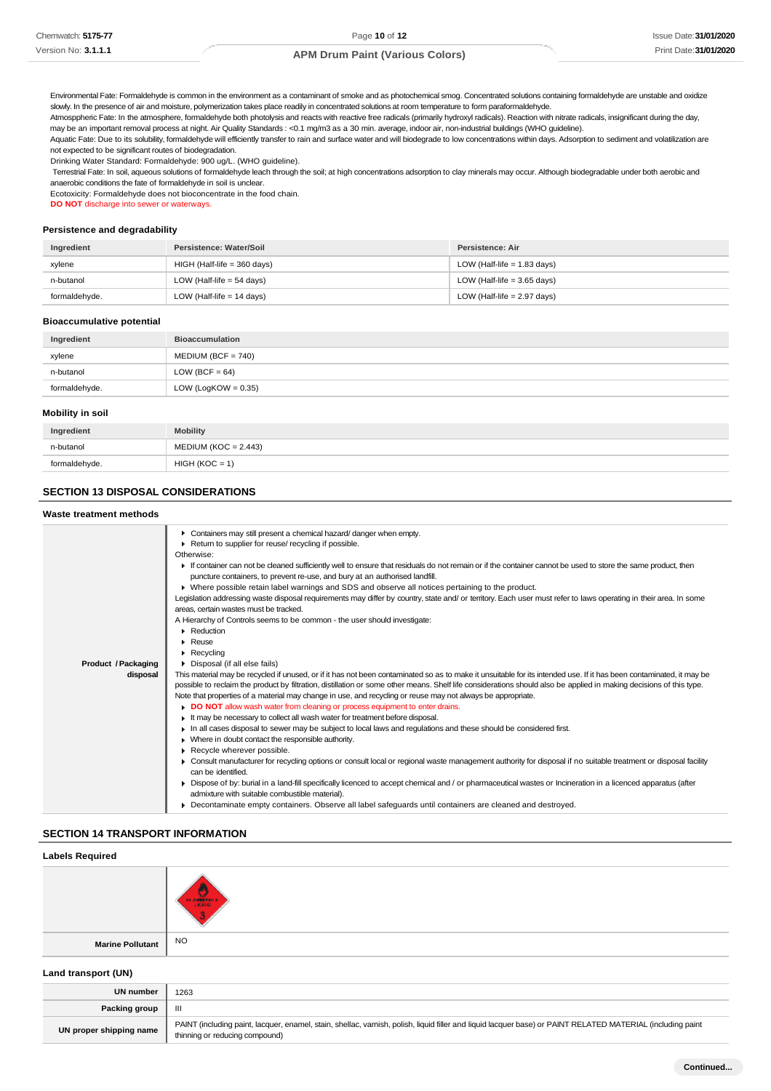Environmental Fate: Formaldehyde is common in the environment as a contaminant of smoke and as photochemical smog. Concentrated solutions containing formaldehyde are unstable and oxidize slowly. In the presence of air and moisture, polymerization takes place readily in concentrated solutions at room temperature to form paraformaldehyde.

Atmosppheric Fate: In the atmosphere, formaldehyde both photolysis and reacts with reactive free radicals (primarily hydroxyl radicals). Reaction with nitrate radicals, insignificant during the day, may be an important removal process at night. Air Quality Standards : <0.1 mg/m3 as a 30 min. average, indoor air, non-industrial buildings (WHO guideline).

Aquatic Fate: Due to its solubility, formaldehyde will efficiently transfer to rain and surface water and will biodegrade to low concentrations within days. Adsorption to sediment and volatilization are not expected to be significant routes of biodegradation.

Drinking Water Standard: Formaldehyde: 900 ug/L. (WHO guideline).

Terrestrial Fate: In soil, aqueous solutions of formaldehyde leach through the soil; at high concentrations adsorption to clay minerals may occur. Although biodegradable under both aerobic and anaerobic conditions the fate of formaldehyde in soil is unclear.

Ecotoxicity: Formaldehyde does not bioconcentrate in the food chain.

**DO NOT** discharge into sewer or waterways.

#### **Persistence and degradability**

| Ingredient    | Persistence: Water/Soil       | Persistence: Air              |
|---------------|-------------------------------|-------------------------------|
| xylene        | $HIGH$ (Half-life = 360 days) | LOW (Half-life $= 1.83$ days) |
| n-butanol     | LOW (Half-life $=$ 54 days)   | LOW (Half-life $=$ 3.65 days) |
| formaldehyde. | LOW (Half-life $= 14$ days)   | LOW (Half-life $= 2.97$ days) |

#### **Bioaccumulative potential**

| Ingredient    | <b>Bioaccumulation</b> |
|---------------|------------------------|
| xylene        | $MEDIUM (BCF = 740)$   |
| n-butanol     | LOW (BCF = $64$ )      |
| formaldehyde. | LOW (LogKOW = $0.35$ ) |

#### **Mobility in soil**

| Ingredient    | <b>Mobility</b>        |
|---------------|------------------------|
| n-butanol     | $MEDIUM (KOC = 2.443)$ |
| formaldehyde. | $HIGH (KOC = 1)$       |

# **SECTION 13 DISPOSAL CONSIDERATIONS**

#### **Waste treatment methods**

| Product / Packaging<br>disposal | Containers may still present a chemical hazard/danger when empty.<br>Return to supplier for reuse/ recycling if possible.<br>Otherwise:<br>If container can not be cleaned sufficiently well to ensure that residuals do not remain or if the container cannot be used to store the same product, then<br>puncture containers, to prevent re-use, and bury at an authorised landfill.<br>▶ Where possible retain label warnings and SDS and observe all notices pertaining to the product.<br>Legislation addressing waste disposal requirements may differ by country, state and/ or territory. Each user must refer to laws operating in their area. In some<br>areas, certain wastes must be tracked.<br>A Hierarchy of Controls seems to be common - the user should investigate:<br>Reduction<br>$\triangleright$ Reuse<br>$\triangleright$ Recycling<br>Disposal (if all else fails)<br>This material may be recycled if unused, or if it has not been contaminated so as to make it unsuitable for its intended use. If it has been contaminated, it may be<br>possible to reclaim the product by filtration, distillation or some other means. Shelf life considerations should also be applied in making decisions of this type.<br>Note that properties of a material may change in use, and recycling or reuse may not always be appropriate.<br>DO NOT allow wash water from cleaning or process equipment to enter drains.<br>It may be necessary to collect all wash water for treatment before disposal.<br>In all cases disposal to sewer may be subject to local laws and regulations and these should be considered first.<br>• Where in doubt contact the responsible authority.<br>Recycle wherever possible.<br>• Consult manufacturer for recycling options or consult local or regional waste management authority for disposal if no suitable treatment or disposal facility<br>can be identified.<br>▶ Dispose of by: burial in a land-fill specifically licenced to accept chemical and / or pharmaceutical wastes or Incineration in a licenced apparatus (after<br>admixture with suitable combustible material). |
|---------------------------------|-----------------------------------------------------------------------------------------------------------------------------------------------------------------------------------------------------------------------------------------------------------------------------------------------------------------------------------------------------------------------------------------------------------------------------------------------------------------------------------------------------------------------------------------------------------------------------------------------------------------------------------------------------------------------------------------------------------------------------------------------------------------------------------------------------------------------------------------------------------------------------------------------------------------------------------------------------------------------------------------------------------------------------------------------------------------------------------------------------------------------------------------------------------------------------------------------------------------------------------------------------------------------------------------------------------------------------------------------------------------------------------------------------------------------------------------------------------------------------------------------------------------------------------------------------------------------------------------------------------------------------------------------------------------------------------------------------------------------------------------------------------------------------------------------------------------------------------------------------------------------------------------------------------------------------------------------------------------------------------------------------------------------------------------------------------------------------------------------------------------------------------------------|
|                                 | Decontaminate empty containers. Observe all label safeguards until containers are cleaned and destroyed.                                                                                                                                                                                                                                                                                                                                                                                                                                                                                                                                                                                                                                                                                                                                                                                                                                                                                                                                                                                                                                                                                                                                                                                                                                                                                                                                                                                                                                                                                                                                                                                                                                                                                                                                                                                                                                                                                                                                                                                                                                      |
|                                 |                                                                                                                                                                                                                                                                                                                                                                                                                                                                                                                                                                                                                                                                                                                                                                                                                                                                                                                                                                                                                                                                                                                                                                                                                                                                                                                                                                                                                                                                                                                                                                                                                                                                                                                                                                                                                                                                                                                                                                                                                                                                                                                                               |

# **SECTION 14 TRANSPORT INFORMATION**

thinning or reducing compound)

# **Labels Required Marine Pollutant** NO **Land transport (UN) UN number** 1263 **Packing group** III **UN proper shipping name** PAINT (including paint, lacquer, enamel, stain, shellac, varnish, polish, liquid filler and liquid lacquer base) or PAINT RELATED MATERIAL (including paint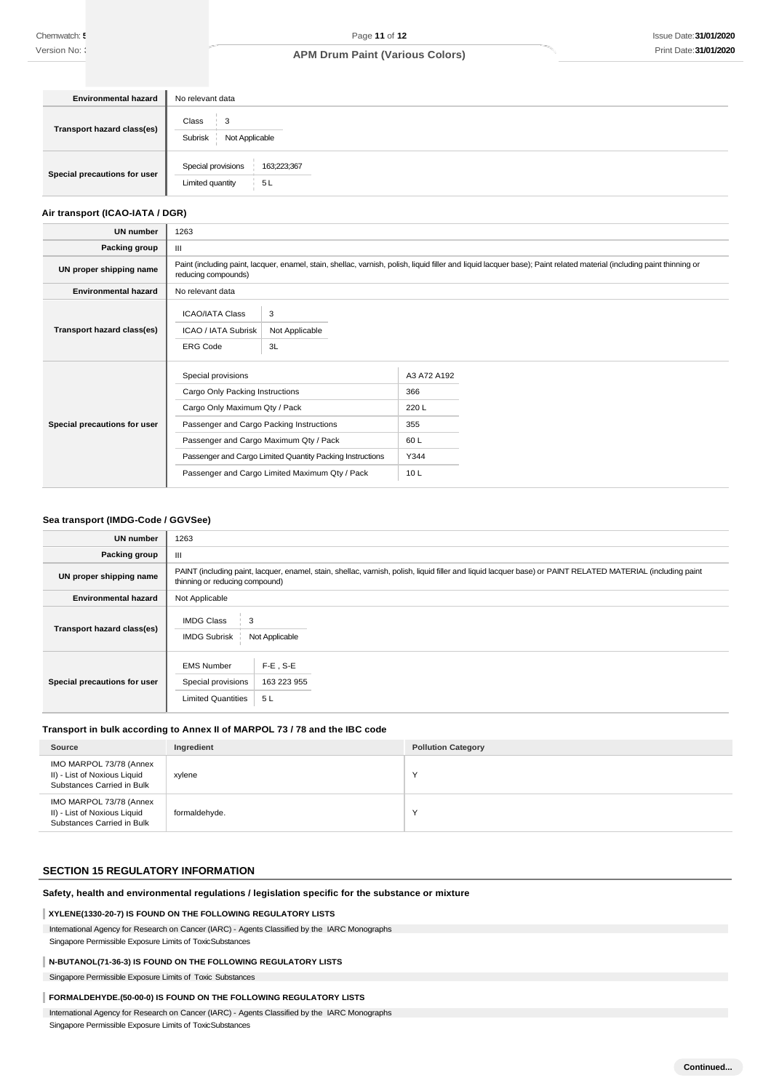| <b>Environmental hazard</b>  | No relevant data                                             |
|------------------------------|--------------------------------------------------------------|
| Transport hazard class(es)   | Class<br>$\mathbf{3}$<br>Subrisk<br>Not Applicable           |
| Special precautions for user | Special provisions<br>163;223;367<br>Limited quantity<br>5 L |

#### **Air transport (ICAO-IATA / DGR)**

| <b>UN number</b>             | 1263                                                                                                                                                                                         |                           |                    |  |  |
|------------------------------|----------------------------------------------------------------------------------------------------------------------------------------------------------------------------------------------|---------------------------|--------------------|--|--|
| Packing group                | Ш                                                                                                                                                                                            |                           |                    |  |  |
| UN proper shipping name      | Paint (including paint, lacquer, enamel, stain, shellac, varnish, polish, liquid filler and liquid lacquer base); Paint related material (including paint thinning or<br>reducing compounds) |                           |                    |  |  |
| <b>Environmental hazard</b>  | No relevant data                                                                                                                                                                             |                           |                    |  |  |
| Transport hazard class(es)   | <b>ICAO/IATA Class</b><br>ICAO / IATA Subrisk<br><b>ERG Code</b>                                                                                                                             | 3<br>Not Applicable<br>3L |                    |  |  |
| Special precautions for user | Special provisions<br>Cargo Only Packing Instructions                                                                                                                                        |                           | A3 A72 A192<br>366 |  |  |
|                              | Cargo Only Maximum Qty / Pack                                                                                                                                                                |                           | 220L               |  |  |
|                              | Passenger and Cargo Packing Instructions                                                                                                                                                     |                           | 355                |  |  |
|                              | Passenger and Cargo Maximum Qty / Pack                                                                                                                                                       |                           | 60 L               |  |  |
|                              | Passenger and Cargo Limited Quantity Packing Instructions                                                                                                                                    |                           | Y344               |  |  |
|                              | Passenger and Cargo Limited Maximum Qty / Pack                                                                                                                                               |                           | 10L                |  |  |

#### **Sea transport (IMDG-Code / GGVSee)**

| <b>UN number</b>             | 1263                                                                                                                                                                                          |  |  |  |
|------------------------------|-----------------------------------------------------------------------------------------------------------------------------------------------------------------------------------------------|--|--|--|
| Packing group                | III                                                                                                                                                                                           |  |  |  |
| UN proper shipping name      | PAINT (including paint, lacquer, enamel, stain, shellac, varnish, polish, liquid filler and liquid lacquer base) or PAINT RELATED MATERIAL (including paint<br>thinning or reducing compound) |  |  |  |
| <b>Environmental hazard</b>  | Not Applicable                                                                                                                                                                                |  |  |  |
| Transport hazard class(es)   | <b>IMDG Class</b><br>3<br><b>IMDG Subrisk</b><br>Not Applicable                                                                                                                               |  |  |  |
| Special precautions for user | $F-E$ , S-E<br><b>EMS Number</b><br>Special provisions<br>163 223 955<br><b>Limited Quantities</b><br>5 L                                                                                     |  |  |  |

# **Transport in bulk according to Annex II of MARPOL 73 / 78 and the IBC code**

| Source                                                                                | Ingredient    | <b>Pollution Category</b> |
|---------------------------------------------------------------------------------------|---------------|---------------------------|
| IMO MARPOL 73/78 (Annex<br>II) - List of Noxious Liquid<br>Substances Carried in Bulk | xylene        | $\lambda$                 |
| IMO MARPOL 73/78 (Annex<br>II) - List of Noxious Liquid<br>Substances Carried in Bulk | formaldehyde. | $\lambda$                 |

# **SECTION 15 REGULATORY INFORMATION**

#### **Safety, health and environmental regulations / legislation specific for the substance or mixture**

#### **XYLENE(1330-20-7) IS FOUND ON THE FOLLOWING REGULATORY LISTS**

International Agency for Research on Cancer (IARC) - Agents Classified by the IARC Monographs Singapore Permissible Exposure Limits of ToxicSubstances

#### **N-BUTANOL(71-36-3) IS FOUND ON THE FOLLOWING REGULATORY LISTS**

Singapore Permissible Exposure Limits of Toxic Substances

# **FORMALDEHYDE.(50-00-0) IS FOUND ON THE FOLLOWING REGULATORY LISTS**

International Agency for Research on Cancer (IARC) - Agents Classified by the IARC Monographs Singapore Permissible Exposure Limits of ToxicSubstances